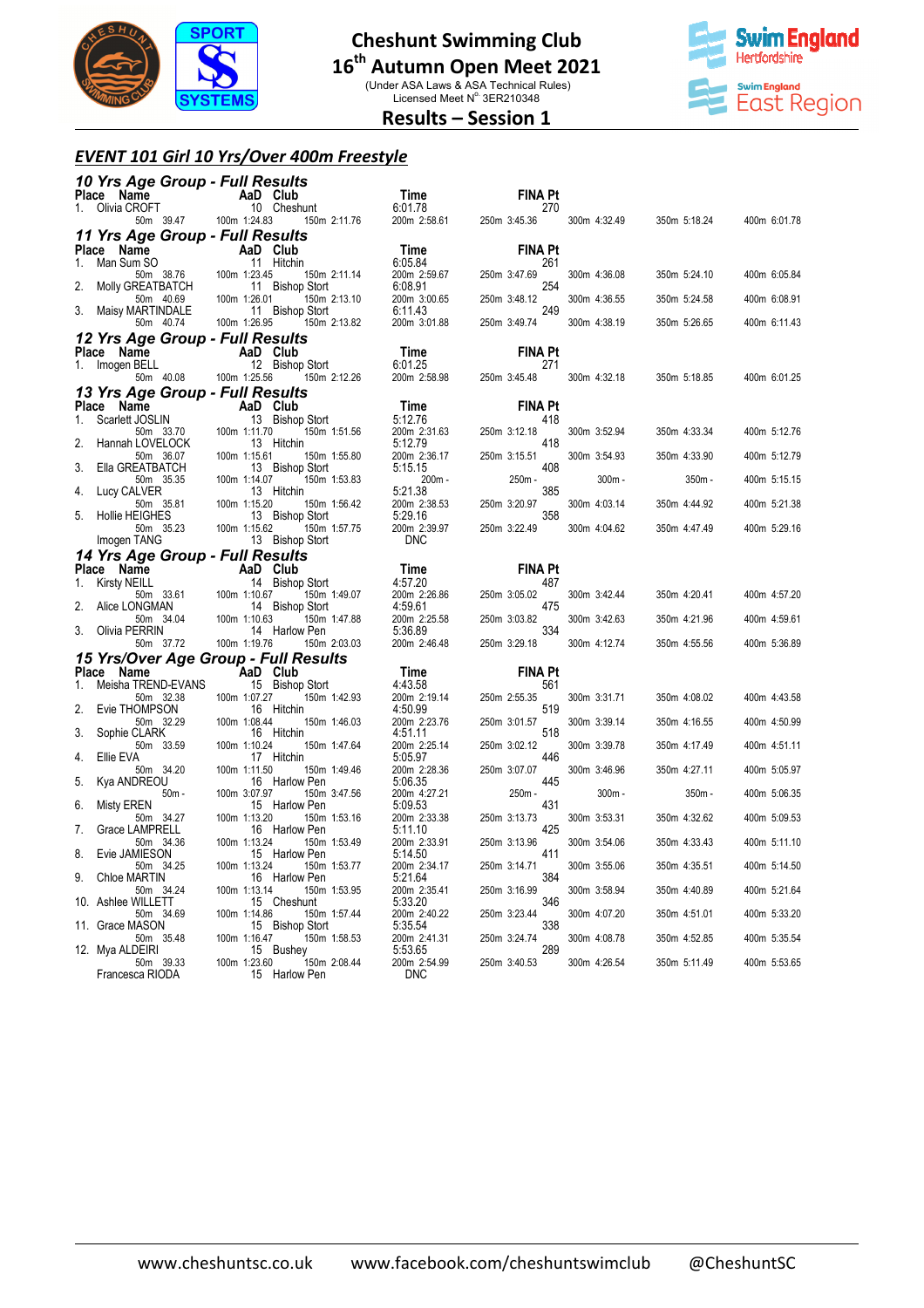

(Under ASA Laws & ASA Technical Rules)<br>Licensed Meet N° 3ER210348



### **Results – Session 1**

#### *EVENT 101 Girl 10 Yrs/Over 400m Freestyle*

|         | 10 Yrs Age Group - Full Results                                                                                                                                                                                                |                                                                                                                                                                                                                                                                                                                                                                                                                                                 |                                             |                                                                                                                                                          |              |              |              |
|---------|--------------------------------------------------------------------------------------------------------------------------------------------------------------------------------------------------------------------------------|-------------------------------------------------------------------------------------------------------------------------------------------------------------------------------------------------------------------------------------------------------------------------------------------------------------------------------------------------------------------------------------------------------------------------------------------------|---------------------------------------------|----------------------------------------------------------------------------------------------------------------------------------------------------------|--------------|--------------|--------------|
|         | Place Name<br>1. Olivia CROFT 10 Cheshunt                                                                                                                                                                                      |                                                                                                                                                                                                                                                                                                                                                                                                                                                 |                                             | <b>FINA Pt</b>                                                                                                                                           |              |              |              |
|         | 50 11<br>50 1.24.83 50 50 100 1:24.83                                                                                                                                                                                          | 150m 2:11.76                                                                                                                                                                                                                                                                                                                                                                                                                                    | <b>Time</b><br>6:01.78<br>200m 2:58.61 250m | 270<br>250m 3:45.36                                                                                                                                      | 300m 4:32.49 | 350m 5:18.24 | 400m 6:01.78 |
|         | 11 Yrs Age Group - Full Results                                                                                                                                                                                                |                                                                                                                                                                                                                                                                                                                                                                                                                                                 |                                             |                                                                                                                                                          |              |              |              |
| 1.      | Place Name                                                                                                                                                                                                                     |                                                                                                                                                                                                                                                                                                                                                                                                                                                 | Time 6:05.84                                | <b>FINA Pt</b><br>261                                                                                                                                    |              |              |              |
|         |                                                                                                                                                                                                                                | Compared to the Manne Cub<br>Man Sum S0 11 Hitchin<br>Man Sum S0 100m 1:23.45 150m 2:11.14<br>Molly GREATBATCH 11 Bishop Stort                                                                                                                                                                                                                                                                                                                  | 200m 2:59.67                                | 250m 3:47.69                                                                                                                                             | 300m 4:36.08 | 350m 5:24.10 | 400m 6:05.84 |
| 2.      | 50m 40.69                                                                                                                                                                                                                      | 100m 1:26.01<br>150m 2:13.10                                                                                                                                                                                                                                                                                                                                                                                                                    | 6:08.91<br>200m 3:00.65                     | 254<br>250m 3:48.12                                                                                                                                      | 300m 4:36.55 | 350m 5:24.58 | 400m 6:08.91 |
|         | 3. Maisy MARTINDALE                                                                                                                                                                                                            | 11 Bishop Stort                                                                                                                                                                                                                                                                                                                                                                                                                                 | 6:11.43                                     | 249                                                                                                                                                      |              |              |              |
|         | 50m 40.74                                                                                                                                                                                                                      | 100m 1:26.95<br>150m 2:13.82                                                                                                                                                                                                                                                                                                                                                                                                                    | 200m 3:01.88                                | 250m 3:49.74                                                                                                                                             | 300m 4:38.19 | 350m 5:26.65 | 400m 6:11.43 |
|         | 12 Yrs Age Group - Full Results                                                                                                                                                                                                |                                                                                                                                                                                                                                                                                                                                                                                                                                                 |                                             |                                                                                                                                                          |              |              |              |
|         | Place Name<br>1. Imogen BELL                                                                                                                                                                                                   |                                                                                                                                                                                                                                                                                                                                                                                                                                                 | <b>Time</b><br>6:01.25                      | <b>FINA Pt</b><br>271                                                                                                                                    |              |              |              |
|         |                                                                                                                                                                                                                                | <b>Phono Happy Club</b><br><b>BELL</b><br>50m 40.08 100m 1:25.56 150m 2:12.26<br>150m 2:12.26                                                                                                                                                                                                                                                                                                                                                   | 200m 2:58.98                                | 250m 3:45.48                                                                                                                                             | 300m 4:32.18 | 350m 5:18.85 | 400m 6:01.25 |
|         | 13 Yrs Age Group - Full Results                                                                                                                                                                                                |                                                                                                                                                                                                                                                                                                                                                                                                                                                 |                                             |                                                                                                                                                          |              |              |              |
| $1_{-}$ | Place Name                                                                                                                                                                                                                     | Comment Comment Comment Comment Comment Comment Comment Comment Comment Comment Comment Comment Comment Comment Comment Comment Comment Comment Comment Comment Comment Comment Comment Comment Comment Comment Comment Commen                                                                                                                                                                                                                  | Time<br>5:12.76                             | <b>FINA Pt</b><br>418                                                                                                                                    |              |              |              |
|         |                                                                                                                                                                                                                                |                                                                                                                                                                                                                                                                                                                                                                                                                                                 | 5:12.76<br>200m 2:31.63                     | 250m 3:12.18                                                                                                                                             | 300m 3:52.94 | 350m 4:33.34 | 400m 5:12.76 |
| 2.      | Hannah LOVELOCK                                                                                                                                                                                                                | 13 Hitchin                                                                                                                                                                                                                                                                                                                                                                                                                                      |                                             | 418                                                                                                                                                      |              |              |              |
| 3.      | 50m 36.07<br>Ella GREATBATCH                                                                                                                                                                                                   | 100m 1:15.61<br>150m 1:55.80<br>13 Bishop Stort                                                                                                                                                                                                                                                                                                                                                                                                 |                                             | 250m 3:15.51<br>408                                                                                                                                      | 300m 3:54.93 | 350m 4:33.90 | 400m 5:12.79 |
|         | 50m 35.35                                                                                                                                                                                                                      | 100m 1:14.07<br>150m 1:53.83                                                                                                                                                                                                                                                                                                                                                                                                                    |                                             | 2512.79<br>2512.79<br>250m 2:36.17<br>250m 3:15.51<br>200m 2:36.17<br>250m 250m<br>5:21.38<br>250m 2:38.53<br>250m 3:20.97<br>358<br>250m 3:20.97<br>358 | $300m -$     | 350m -       | 400m 5:15.15 |
| 4.      | Lucy CALVER<br>50m 35.81                                                                                                                                                                                                       | 13 Hitchin<br>100m 1:15.20<br>150m 1:56.42                                                                                                                                                                                                                                                                                                                                                                                                      |                                             | 385                                                                                                                                                      | 300m 4:03.14 | 350m 4:44.92 | 400m 5:21.38 |
| 5.      | Hollie HEIGHES                                                                                                                                                                                                                 | noom 1:15.20<br>13 Bishop Stort                                                                                                                                                                                                                                                                                                                                                                                                                 | 5:29.16                                     | 358                                                                                                                                                      |              |              |              |
|         | 50m 35.23<br>Imogen TANG                                                                                                                                                                                                       | 100m 1:15.62<br>150m 1:57.75<br>100m 1:15.62 100m 1:15.62<br>13 Bishop Stort                                                                                                                                                                                                                                                                                                                                                                    | 200m 2:39.97<br><b>DNC</b>                  | 250m 3:22.49                                                                                                                                             | 300m 4:04.62 | 350m 4:47.49 | 400m 5:29.16 |
|         | 14 Yrs Age Group - Full Results                                                                                                                                                                                                |                                                                                                                                                                                                                                                                                                                                                                                                                                                 |                                             |                                                                                                                                                          |              |              |              |
|         | Place Name                                                                                                                                                                                                                     |                                                                                                                                                                                                                                                                                                                                                                                                                                                 |                                             | <b>FINA Pt</b>                                                                                                                                           |              |              |              |
|         | 1. Kirsty NEILL                                                                                                                                                                                                                | $\begin{array}{ll}\n\mathbf{A} & \mathbf{A} \\ \mathbf{A} & \mathbf{B} \\ \mathbf{B} & \mathbf{B} \\ \mathbf{B} & \mathbf{B} \\ \mathbf{B} & \mathbf{B} \\ \mathbf{B} & \mathbf{B} \\ \mathbf{C} & \mathbf{A} \\ \mathbf{D} & \mathbf{A} \\ \mathbf{D} & \mathbf{A} \\ \mathbf{D} & \mathbf{A} \\ \mathbf{D} & \mathbf{A} \\ \mathbf{D} & \mathbf{A} \\ \mathbf{D} & \mathbf{A} \\ \mathbf{D} & \mathbf{A} \\ \mathbf{D} & \mathbf{A} \\ \math$ | <b>Time</b><br>4:57.20<br>200m              | 487<br>250m 3:05.02                                                                                                                                      | 300m 3:42.44 | 350m 4:20.41 | 400m 4:57.20 |
| 2.      | Compared to the Manufacture of Manufacture of Manufacture of Manufacture of Manufacture of Manufacture of Manufacture of Manufacture of Manufacture of Manufacture of Manufacture of Manufacture of Manufacture of Manufacture | 14 Bishop Stort                                                                                                                                                                                                                                                                                                                                                                                                                                 | 4:59.61                                     | 475                                                                                                                                                      |              |              |              |
| 3.      | Olivia PERRIN                                                                                                                                                                                                                  | 150m 1:47.88<br>14 Harlow Pen                                                                                                                                                                                                                                                                                                                                                                                                                   | 200m 2:25.58<br>5:36.89                     | 250m 3:03.82<br>334                                                                                                                                      | 300m 3:42.63 | 350m 4:21.96 | 400m 4:59.61 |
|         | 50m 37.72                                                                                                                                                                                                                      | 100m 1:19.76<br>150m 2:03.03                                                                                                                                                                                                                                                                                                                                                                                                                    | 200m 2:46.48                                | 250m 3:29.18                                                                                                                                             | 300m 4:12.74 | 350m 4:55.56 | 400m 5:36.89 |
|         |                                                                                                                                                                                                                                | 15 Yrs/Over Age Group - Full Results                                                                                                                                                                                                                                                                                                                                                                                                            |                                             |                                                                                                                                                          |              |              |              |
|         | Place Name                                                                                                                                                                                                                     | <b>Example 12</b> AaD Club                                                                                                                                                                                                                                                                                                                                                                                                                      | $Time$<br>4:43.58                           | <b>FINA Pt</b>                                                                                                                                           |              |              |              |
| 1.      | Meisha TREND-EVANS<br>50m 32.38                                                                                                                                                                                                | 15 Bishop Stort<br>100m 1:07.27<br>150m 1:42.93                                                                                                                                                                                                                                                                                                                                                                                                 | 200m 2:19.14                                | 561<br>250m 2:55.35                                                                                                                                      | 300m 3:31.71 | 350m 4:08.02 | 400m 4:43.58 |
| 2.      | Evie THOMPSON                                                                                                                                                                                                                  | 16 Hitchin                                                                                                                                                                                                                                                                                                                                                                                                                                      | 4:50.99                                     | 519                                                                                                                                                      |              |              |              |
| 3.      | 50m 32.29<br>Sophie CLARK                                                                                                                                                                                                      | 150m 1:46.03<br>100m 1:08.44<br>16 Hitchin                                                                                                                                                                                                                                                                                                                                                                                                      | 200m 2:23.76<br>4:51.11                     | 250m 3:01.57<br>518                                                                                                                                      | 300m 3:39.14 | 350m 4:16.55 | 400m 4:50.99 |
|         | 50m 33.59                                                                                                                                                                                                                      | 100m 1:10.24<br>150m 1:47.64                                                                                                                                                                                                                                                                                                                                                                                                                    | 200m 2:25.14                                | 250m 3:02.12                                                                                                                                             | 300m 3:39.78 | 350m 4:17.49 | 400m 4:51.11 |
| 4.      | Ellie EVA<br>50m 34.20                                                                                                                                                                                                         | 17 Hitchin<br>100m 1:11.50<br>150m 1:49.46                                                                                                                                                                                                                                                                                                                                                                                                      | 5:05.97<br>200m 2:28.36                     | 446<br>250m 3:07.07                                                                                                                                      | 300m 3:46.96 | 350m 4:27.11 | 400m 5:05.97 |
| 5.      | Kya ANDREOU                                                                                                                                                                                                                    | 16 Harlow Pen                                                                                                                                                                                                                                                                                                                                                                                                                                   | 5:06.35                                     | 445                                                                                                                                                      |              |              |              |
| 6.      | $50m -$<br>Misty EREN                                                                                                                                                                                                          | 100m 3:07.97<br>150m 3:47.56<br>15 Harlow Pen                                                                                                                                                                                                                                                                                                                                                                                                   | 200m 4:27.21<br>5:09.53                     | 250m -<br>431                                                                                                                                            | $300m -$     | 350m -       | 400m 5:06.35 |
|         | 50m 34.27                                                                                                                                                                                                                      | 100m 1:13.20<br>150m 1:53.16                                                                                                                                                                                                                                                                                                                                                                                                                    | 200m 2:33.38                                | 250m 3:13.73                                                                                                                                             | 300m 3:53.31 | 350m 4:32.62 | 400m 5:09.53 |
| 7.      | Grace LAMPRELL<br>50m 34.36                                                                                                                                                                                                    | 16 Harlow Pen<br>100m 1:13.24<br>150m 1:53.49                                                                                                                                                                                                                                                                                                                                                                                                   | 5:11.10<br>200m 2:33.91                     | 425<br>250m 3:13.96                                                                                                                                      | 300m 3:54.06 | 350m 4:33.43 | 400m 5:11.10 |
| 8.      | Evie JAMIESON                                                                                                                                                                                                                  | 15 Harlow Pen                                                                                                                                                                                                                                                                                                                                                                                                                                   | 5:14.50                                     | 411                                                                                                                                                      |              |              |              |
| 9.      | 50m 34.25<br>Chloe MARTIN                                                                                                                                                                                                      | 100m 1:13.24<br>150m 1:53.77<br>16 Harlow Pen                                                                                                                                                                                                                                                                                                                                                                                                   | 200m 2:34.17<br>5:21.64                     | 250m 3:14.71<br>384                                                                                                                                      | 300m 3:55.06 | 350m 4:35.51 | 400m 5:14.50 |
|         | 50m 34.24                                                                                                                                                                                                                      | 100m 1:13.14<br>150m 1:53.95                                                                                                                                                                                                                                                                                                                                                                                                                    | 200m 2:35.41                                | 250m 3:16.99                                                                                                                                             | 300m 3:58.94 | 350m 4:40.89 | 400m 5:21.64 |
|         | 10. Ashlee WILLETT<br>50m 34.69                                                                                                                                                                                                | 15 Cheshunt<br>100m 1:14.86<br>150m 1:57.44                                                                                                                                                                                                                                                                                                                                                                                                     | 5:33.20<br>200m 2:40.22                     | 346<br>250m 3:23.44                                                                                                                                      | 300m 4:07.20 | 350m 4:51.01 | 400m 5:33.20 |
|         | 11. Grace MASON                                                                                                                                                                                                                | 15 Bishop Stort                                                                                                                                                                                                                                                                                                                                                                                                                                 | 5:35.54                                     | 338                                                                                                                                                      |              |              |              |
|         | 50m 35.48<br>12. Mya ALDEIRI                                                                                                                                                                                                   | 100m 1:16.47<br>150m 1:58.53<br>15 Bushey                                                                                                                                                                                                                                                                                                                                                                                                       | 200m 2:41.31<br>5:53.65                     | 250m 3:24.74<br>en de la provincia.<br>Lista de la provincia<br>289                                                                                      | 300m 4:08.78 | 350m 4:52.85 | 400m 5:35.54 |
|         | 50m 39.33                                                                                                                                                                                                                      | 100m 1:23.60<br>150m 2:08.44                                                                                                                                                                                                                                                                                                                                                                                                                    | 200m 2:54.99                                | 250m 3:40.53                                                                                                                                             | 300m 4:26.54 | 350m 5:11.49 | 400m 5:53.65 |
|         | Francesca RIODA                                                                                                                                                                                                                | 15 Harlow Pen                                                                                                                                                                                                                                                                                                                                                                                                                                   | <b>DNC</b>                                  |                                                                                                                                                          |              |              |              |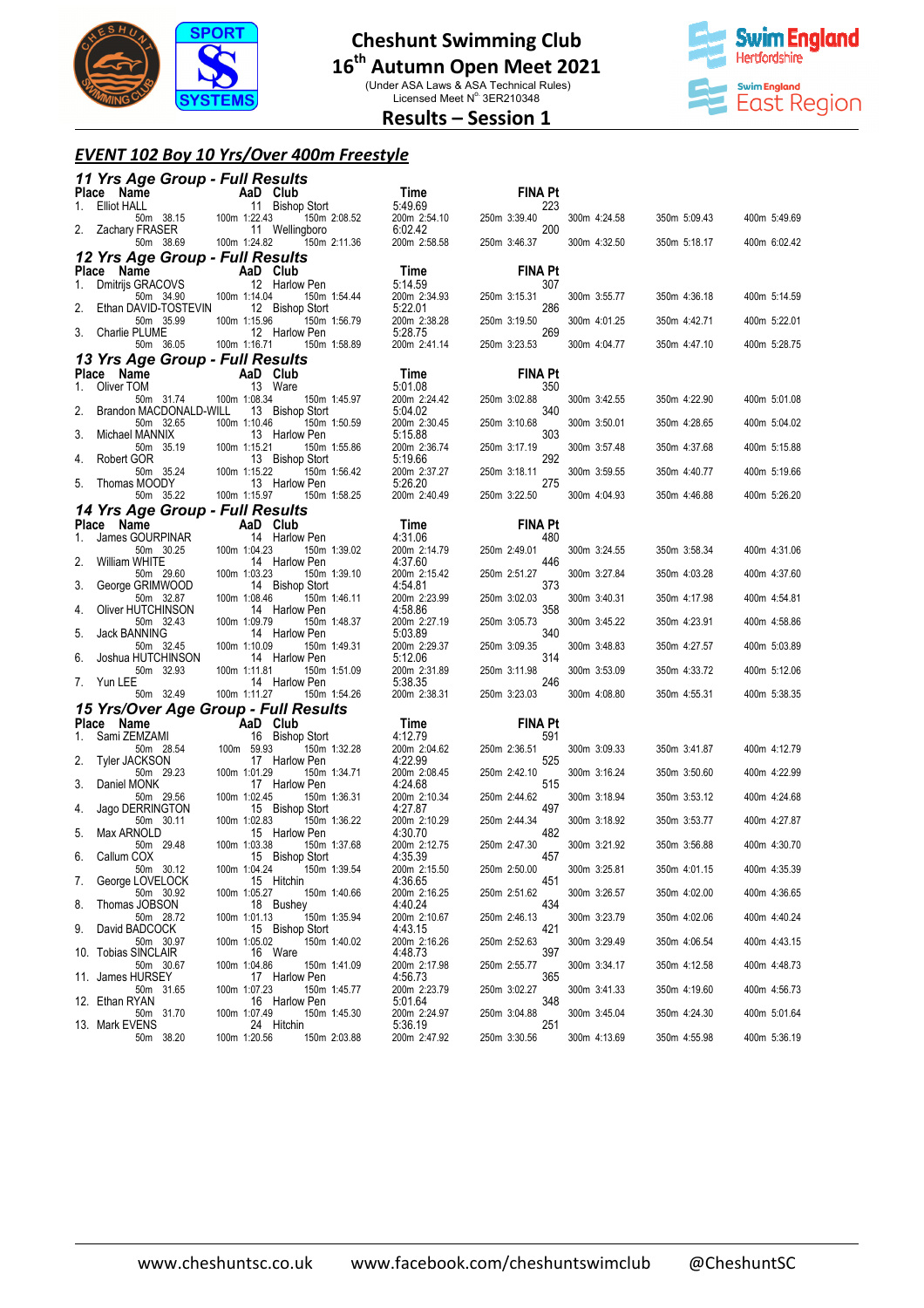

(Under ASA Laws & ASA Technical Rules)<br>Licensed Meet N° 3ER210348



## **Results – Session 1**

#### *EVENT 102 Boy 10 Yrs/Over 400m Freestyle*

|    | 11 Yrs Age Group - Full Results                                            |                           |                                                                |                                    |                            |              |              |              |
|----|----------------------------------------------------------------------------|---------------------------|----------------------------------------------------------------|------------------------------------|----------------------------|--------------|--------------|--------------|
|    | Place Name                                                                 | AaD Club                  |                                                                | Time                               | <b>FINA Pt</b>             |              |              |              |
| 1. | Elliot HALL<br>50m 38.15 100m 1:22.43<br>FRASER 11<br>2. Zachary FRASER    |                           | $11$ Bishop Stort<br>1:22.43<br>150m 2:08.52<br>11 Wellingboro | 5:49.69<br>200m 2:54.10<br>6:02.42 | 223<br>250m 3:39.40<br>200 | 300m 4:24.58 | 350m 5:09.43 | 400m 5:49.69 |
|    | 50m 38.69                                                                  | 100m 1:24.82              | 150m 2:11.36                                                   | 200m 2:58.58                       | 250m 3:46.37               | 300m 4:32.50 | 350m 5:18.17 | 400m 6:02.42 |
|    | 12 Yrs Age Group - Full Results                                            |                           |                                                                |                                    |                            |              |              |              |
|    | Place Name                                                                 |                           | AaD Club                                                       | Time                               | <b>FINA Pt</b>             |              |              |              |
| 1. | <b>Ce Name AaD (</b><br>Dmitrijs GRACOVS 12 H<br>- 50m 34.90  100m 1:14.04 |                           | 12 Harlow Pen<br>150m 1:54.44                                  | 5:14.59<br>200m 2:34.93            | 307<br>250m 3:15.31        | 300m 3:55.77 | 350m 4:36.18 | 400m 5:14.59 |
| 2. | Ethan DAVID-TOSTEVIN<br>50m 35.99                                          | 100m 1:15.96              | 12 Bishop Stort<br>150m 1:56.79                                | 5:22.01<br>200m 2:38.28            | 286<br>250m 3:19.50        | 300m 4:01.25 | 350m 4:42.71 | 400m 5:22.01 |
|    | Charlie PLUME                                                              |                           | 12 Harlow Pen                                                  | 5:28.75                            | 269                        |              |              |              |
|    | 50m 36.05 100m 1:16.71<br>13 Yrs Age Group - Full Results                  |                           | 150m 1:58.89                                                   | 200m 2:41.14                       | 250m 3:23.53               | 300m 4:04.77 | 350m 4:47.10 | 400m 5:28.75 |
|    | Place Name<br><b>Example 2</b> AaD Club                                    |                           |                                                                | Time                               | <b>FINA Pt</b>             |              |              |              |
| 1. | Oliver TOM                                                                 |                           | 13 Ware                                                        | 5:01.08                            | 350                        |              |              |              |
| 2. | 50m 31.74<br>Brandon MACDONALD-WILL                                        | 100m 1:08.34              | 150m 1:45.97<br>13 Bishop Stort                                | 200m 2:24.42<br>5:04.02            | 250m 3:02.88<br>340        | 300m 3:42.55 | 350m 4:22.90 | 400m 5:01.08 |
| 3. | 50m 32.65<br>Michael MANNIX                                                | 100m 1:10.46              | 150m 1:50.59<br>13 Harlow Pen                                  | 200m 2:30.45<br>5:15.88            | 250m 3:10.68<br>303        | 300m 3:50.01 | 350m 4:28.65 | 400m 5:04.02 |
| 4. | 50m 35.19<br>Robert GOR                                                    | 100m 1:15.21              | 150m 1:55.86<br>13 Bishop Stort                                | 200m 2:36.74<br>5:19.66            | 250m 3:17.19<br>292        | 300m 3:57.48 | 350m 4:37.68 | 400m 5:15.88 |
|    | 50m 35.24<br>Thomas MOODY                                                  | 100m 1:15.22              | 150m 1:56.42                                                   | 200m 2:37.27                       | 250m 3:18.11               | 300m 3:59.55 | 350m 4:40.77 | 400m 5:19.66 |
| 5. | 50m 35.22                                                                  | 100m 1:15.97              | 13 Harlow Pen<br>150m 1:58.25                                  | 5:26.20<br>200m 2:40.49            | 275<br>250m 3:22.50        | 300m 4:04.93 | 350m 4:46.88 | 400m 5:26.20 |
|    | 14 Yrs Age Group - Full Results                                            |                           |                                                                |                                    |                            |              |              |              |
| 1. | Place Name<br>James GOURPINAR                                              | <b>Example 2</b> AaD Club | 14 Harlow Pen                                                  | Time<br>4:31.06                    | <b>FINA Pt</b><br>480      |              |              |              |
|    | 50m 30.25                                                                  | 100m 1:04.23              | 150m 1:39.02                                                   | 200m 2:14.79                       | 250m 2:49.01               | 300m 3:24.55 | 350m 3:58.34 | 400m 4:31.06 |
| 2. | <b>William WHITE</b><br>50m 29.60                                          | 100m 1:03.23              | 14 Harlow Pen<br>150m 1:39.10                                  | 4:37.60<br>200m 2:15.42            | 446<br>250m 2:51.27        | 300m 3:27.84 | 350m 4:03.28 | 400m 4:37.60 |
| 3. | George GRIMWOOD<br>50m 32.87                                               | 100m 1:08.46              | 14 Bishop Stort<br>150m 1:46.11                                | 4:54.81<br>200m 2:23.99            | 373<br>250m 3:02.03        | 300m 3:40.31 | 350m 4:17.98 | 400m 4:54.81 |
| 4. | Oliver HUTCHINSON<br>50m 32.43                                             | 100m 1:09.79              | 14 Harlow Pen<br>150m 1:48.37                                  | 4:58.86<br>200m 2:27.19            | 358<br>250m 3:05.73        | 300m 3:45.22 | 350m 4:23.91 | 400m 4:58.86 |
| 5. | Jack BANNING<br>50m 32.45                                                  | 100m 1:10.09              | 14 Harlow Pen<br>150m 1:49.31                                  | 5:03.89<br>200m 2:29.37            | 340<br>250m 3:09.35        | 300m 3:48.83 | 350m 4:27.57 | 400m 5:03.89 |
| 6. | Joshua HUTCHINSON                                                          |                           | 14 Harlow Pen                                                  | 5:12.06                            | 314                        |              |              |              |
| 7. | 50m 32.93<br>Yun LEE                                                       | 100m 1:11.81              | 150m 1:51.09<br>14 Harlow Pen                                  | 200m 2:31.89<br>5:38.35            | 250m 3:11.98<br>246        | 300m 3:53.09 | 350m 4:33.72 | 400m 5:12.06 |
|    | 50m 32.49                                                                  | 100m 1:11.27              | 150m 1:54.26                                                   | 200m 2:38.31                       | 250m 3:23.03               | 300m 4:08.80 | 350m 4:55.31 | 400m 5:38.35 |
|    | 15 Yrs/Over Age Group - Full Results<br>Place Name                         |                           |                                                                | Time                               | <b>FINA Pt</b>             |              |              |              |
| 1. | Sami ZEMZAMI                                                               | AaD Club                  | 16 Bishop Stort                                                | 4:12.79                            | 591                        |              |              |              |
| 2. | 50m 28.54<br><b>Tyler JACKSON</b>                                          | 100m 59.93                | 150m 1:32.28<br>17 Harlow Pen                                  | 200m 2:04.62<br>4:22.99            | 250m 2:36.51<br>525        | 300m 3:09.33 | 350m 3:41.87 | 400m 4:12.79 |
|    | 50m 29.23                                                                  | 100m 1:01.29              | 150m 1:34.71                                                   | 200m 2:08.45                       | 250m 2:42.10               | 300m 3:16.24 | 350m 3:50.60 | 400m 4:22.99 |
| 3. | Daniel MONK<br>50m 29.56                                                   | 100m 1:02.45              | 17 Harlow Pen<br>150m 1:36.31                                  | 4:24.68<br>200m 2:10.34            | 515<br>250m 2:44.62        | 300m 3:18.94 | 350m 3:53.12 | 400m 4:24.68 |
| 4. | Jago DERRINGTON<br>50m 30.11                                               | 100m 1:02.83              | 15 Bishop Stort<br>150m 1:36.22                                | 4:27.87<br>200m 2:10.29            | 497<br>250m 2:44.34        | 300m 3:18.92 | 350m 3:53.77 | 400m 4:27.87 |
| 5. | Max ARNOLD<br>50m 29.48                                                    | 100m 1:03.38              | 15 Harlow Pen<br>150m 1:37.68                                  | 4:30.70<br>200m 2:12.75            | 482<br>250m 2:47.30        | 300m 3:21.92 | 350m 3:56.88 | 400m 4:30.70 |
| 6. | Callum COX<br>50m 30.12                                                    | 100m 1:04.24              | 15 Bishop Stort<br>150m 1:39.54                                | 4:35.39<br>200m 2:15.50            | 457<br>250m 2:50.00        | 300m 3:25.81 | 350m 4:01.15 | 400m 4:35.39 |
| 7. | George LOVELOCK                                                            |                           | 15 Hitchin                                                     | 4:36.65                            | 451                        |              |              |              |
| 8. | 50m 30.92<br>Thomas JOBSON                                                 | 100m 1:05.27              | 150m 1:40.66<br>18 Bushey                                      | 200m 2:16.25<br>4:40.24            | 250m 2:51.62<br>434        | 300m 3:26.57 | 350m 4:02.00 | 400m 4:36.65 |
| 9. | 50m 28.72<br>David BADCOCK                                                 | 100m 1:01.13              | 150m 1:35.94<br>15 Bishop Stort                                | 200m 2:10.67<br>4:43.15            | 250m 2:46.13<br>421        | 300m 3:23.79 | 350m 4:02.06 | 400m 4:40.24 |
|    | 50m 30.97<br>10. Tobias SINCLAIR                                           | 100m 1:05.02              | 150m 1:40.02<br>16 Ware                                        | 200m 2:16.26<br>4:48.73            | 250m 2:52.63<br>397        | 300m 3:29.49 | 350m 4:06.54 | 400m 4:43.15 |
|    | 50m 30.67<br>11. James HURSEY                                              | 100m 1:04.86              | 150m 1:41.09<br>17 Harlow Pen                                  | 200m 2:17.98<br>4:56.73            | 250m 2:55.77<br>365        | 300m 3:34.17 | 350m 4:12.58 | 400m 4:48.73 |
|    | 50m 31.65                                                                  | 100m 1:07.23              | 150m 1:45.77                                                   | 200m 2:23.79                       | 250m 3:02.27               | 300m 3:41.33 | 350m 4:19.60 | 400m 4:56.73 |
|    | 12. Ethan RYAN<br>50m 31.70                                                | 100m 1:07.49              | 16 Harlow Pen<br>150m 1:45.30                                  | 5.01.64<br>200m 2:24.97            | 348<br>250m 3:04.88        | 300m 3:45.04 | 350m 4:24.30 | 400m 5:01.64 |
|    | 13. Mark EVENS<br>50m 38.20                                                | 100m 1:20.56              | 24 Hitchin<br>150m 2:03.88                                     | 5:36.19<br>200m 2:47.92            | 251<br>250m 3:30.56        | 300m 4:13.69 | 350m 4:55.98 | 400m 5:36.19 |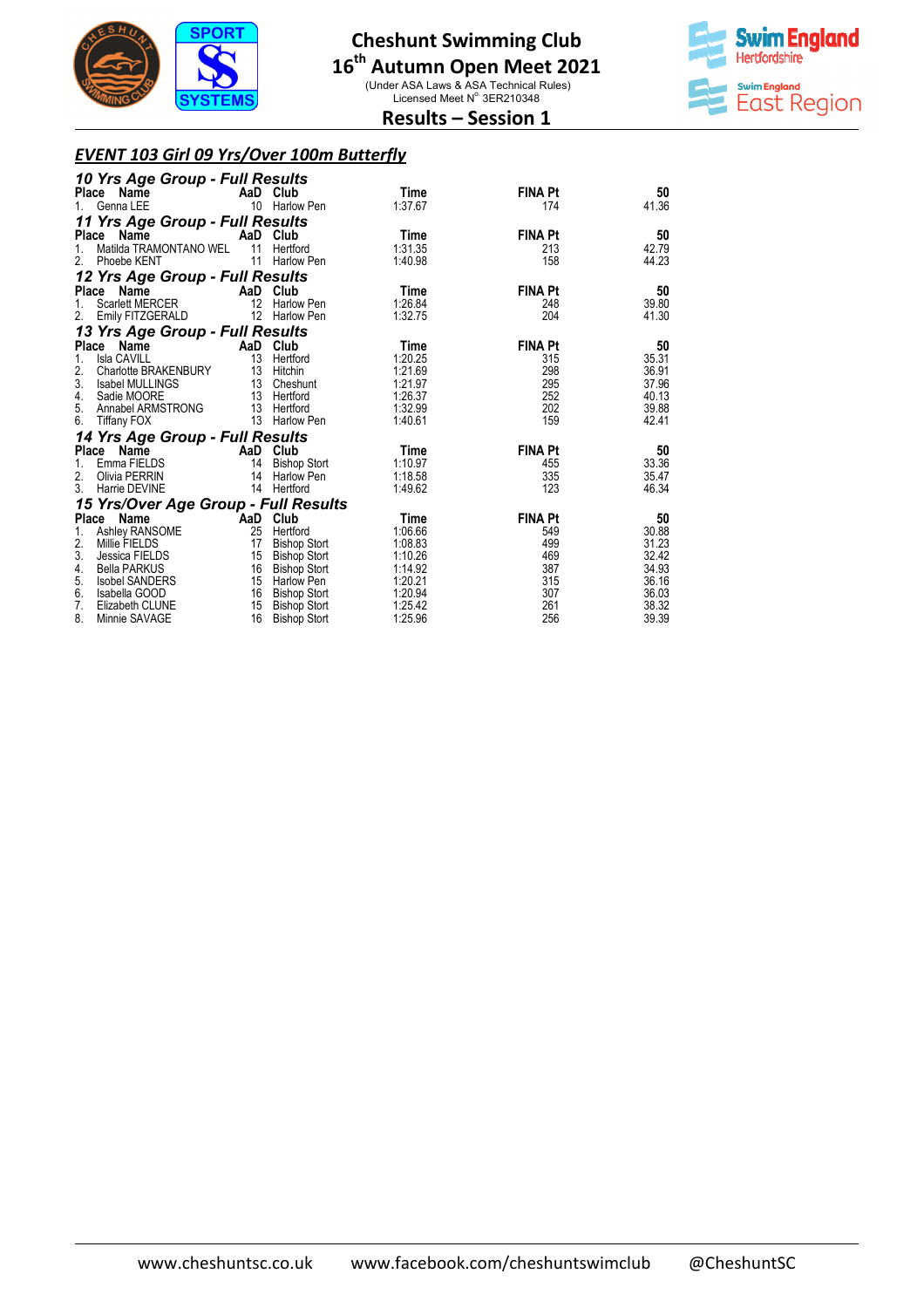

# **16 th Autumn Open Meet 2021**

(Under ASA Laws & ASA Technical Rules)<br>Licensed Meet N° 3ER210348



### **Results – Session 1**

#### *EVENT 103 Girl 09 Yrs/Over 100m Butterfly*

| 10 Yrs Age Group - Full Results<br>Place Name      |          | AaD Club                          | Time               | <b>FINA Pt</b> | 50             |
|----------------------------------------------------|----------|-----------------------------------|--------------------|----------------|----------------|
| Genna LEE<br>$1_{-}$                               |          | 10 Harlow Pen                     | 1:37.67            | 174            | 41.36          |
| 11 Yrs Age Group - Full Results                    |          |                                   |                    |                |                |
| Name<br>Place                                      |          | AaD Club                          | <b>Time</b>        | <b>FINA Pt</b> | 50             |
| Matilda TRAMONTANO WEL<br>1.                       | 11       | Hertford                          | 1:31.35            | 213            | 42.79          |
| 2.<br>Phoebe KENT                                  | 11       | Harlow Pen                        | 1:40.98            | 158            | 44.23          |
| 12 Yrs Age Group - Full Results                    |          |                                   |                    |                |                |
| Place<br>Name                                      | AaD Club |                                   | Time               | <b>FINA Pt</b> | 50             |
| Scarlett MERCER<br>1.                              | 12       | <b>Harlow Pen</b>                 | 1:26.84            | 248            | 39.80          |
| 2.<br>Emily FITZGERALD                             |          | 12 Harlow Pen                     | 1:32.75            | 204            | 41.30          |
| 13 Yrs Age Group - Full Results                    |          |                                   |                    |                |                |
| Place Name                                         | AaD Club |                                   | Time               | <b>FINA Pt</b> | 50             |
| <b>Isla CAVILL</b><br>1.                           | 13       | Hertford                          | 1:20.25            | 315            | 35.31          |
| 2.<br>Charlotte BRAKENBURY                         | 13       | Hitchin                           | 1:21.69            | 298            | 36.91          |
| 3.<br>Isabel MULLINGS                              |          | 13 Cheshunt                       | 1:21.97            | 295            | 37.96          |
| 4.<br>Sadie MOORE                                  |          | 13 Hertford                       | 1:26.37            | 252            | 40.13          |
| 5.<br>Annabel ARMSTRONG<br>6.                      |          | 13 Hertford<br>13 Harlow Pen      | 1:32.99<br>1:40.61 | 202<br>159     | 39.88<br>42.41 |
| <b>Tiffany FOX</b>                                 |          |                                   |                    |                |                |
| 14 Yrs Age Group - Full Results                    |          |                                   |                    |                |                |
| Place<br>Name                                      | AaD Club |                                   | Time               | <b>FINA Pt</b> | 50             |
| Emma FIELDS<br>1.                                  | 14       | <b>Bishop Stort</b>               | 1:10.97            | 455            | 33.36          |
| 2.<br>Olivia PERRIN                                | 14       | Harlow Pen                        | 1:18.58            | 335            | 35.47          |
| 3.<br>Harrie DEVINE                                | 14       | Hertford                          | 1:49.62            | 123            | 46.34          |
| 15 Yrs/Over Age Group - Full Results               |          |                                   |                    |                |                |
| Name<br>Place                                      | AaD Club |                                   | <b>Time</b>        | <b>FINA Pt</b> | 50             |
| Ashley RANSOME<br>1.                               | 25       | Hertford                          | 1:06.66            | 549            | 30.88          |
| 2.<br>Millie FIELDS                                | 17       | <b>Bishop Stort</b>               | 1:08.83            | 499            | 31.23          |
| 3.<br>Jessica FIELDS<br>4.                         | 15<br>16 | <b>Bishop Stort</b>               | 1:10.26<br>1:14.92 | 469<br>387     | 32.42<br>34.93 |
| <b>Bella PARKUS</b><br>5.<br><b>Isobel SANDERS</b> | 15       | <b>Bishop Stort</b><br>Harlow Pen | 1:20.21            | 315            | 36.16          |
| 6.<br>Isabella GOOD                                | 16       | <b>Bishop Stort</b>               | 1:20.94            | 307            | 36.03          |
| 7.<br>Elizabeth CLUNE                              | 15       | <b>Bishop Stort</b>               | 1:25.42            | 261            | 38.32          |
| 8.<br>Minnie SAVAGE                                | 16       | <b>Bishop Stort</b>               | 1:25.96            | 256            | 39.39          |
|                                                    |          |                                   |                    |                |                |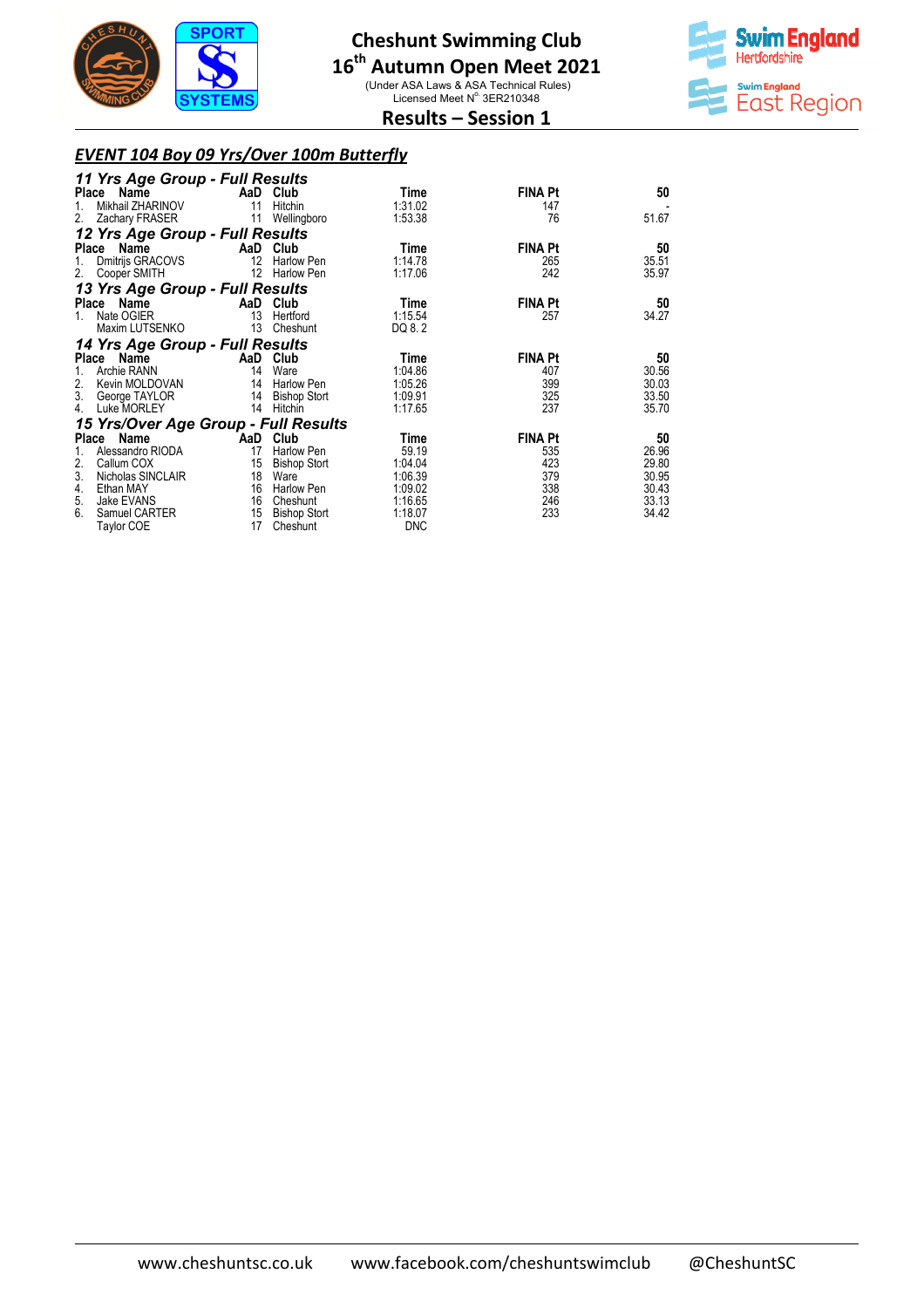

(Under ASA Laws & ASA Technical Rules)<br>Licensed Meet N° 3ER210348



## **Results – Session 1**

### *EVENT 104 Boy 09 Yrs/Over 100m Butterfly*

| 11 Yrs Age Group - Full Results      |                   |                     |            |                |       |
|--------------------------------------|-------------------|---------------------|------------|----------------|-------|
| Place Name                           |                   | AaD Club            | Time       | <b>FINA Pt</b> | 50    |
| Mikhail ZHARINOV<br>1.               | 11                | Hitchin             | 1:31.02    | 147            |       |
| 2.<br>Zachary FRASER                 | 11                | Wellingboro         | 1:53.38    | 76             | 51.67 |
| 12 Yrs Age Group - Full Results      |                   |                     |            |                |       |
| Place Name                           | <b>AaD</b> Club   |                     | Time       | <b>FINA Pt</b> | 50    |
| Dmitrijs GRACOVS<br>1.               | $12 \overline{ }$ | <b>Harlow Pen</b>   | 1:14.78    | 265            | 35.51 |
| 2.<br>Cooper SMITH                   | 12                | Harlow Pen          | 1:17.06    | 242            | 35.97 |
| 13 Yrs Age Group - Full Results      |                   |                     |            |                |       |
| Place Name                           |                   | AaD Club            | Time       | <b>FINA Pt</b> | 50    |
| Nate OGIER<br>$1_{-}$                | 13                | Hertford            | 1:15.54    | 257            | 34.27 |
| Maxim LUTSENKO                       | 13                | Cheshunt            | DQ 8.2     |                |       |
| 14 Yrs Age Group - Full Results      |                   |                     |            |                |       |
| Place Name                           |                   | AaD Club            | Time       | <b>FINA Pt</b> | 50    |
| Archie RANN<br>1.                    | 14                | Ware                | 1:04.86    | 407            | 30.56 |
| 2.<br>Kevin MOLDOVAN                 | 14                | Harlow Pen          | 1:05.26    | 399            | 30.03 |
| 3.<br>George TAYLOR                  |                   | 14 Bishop Stort     | 1:09.91    | 325            | 33.50 |
| 4.<br>Luke MORLEY                    | 14                | Hitchin             | 1:17.65    | 237            | 35.70 |
| 15 Yrs/Over Age Group - Full Results |                   |                     |            |                |       |
| Place Name                           |                   | AaD Club            | Time       | <b>FINA Pt</b> | 50    |
| Alessandro RIODA<br>1.               | 17                | Harlow Pen          | 59.19      | 535            | 26.96 |
| 2.<br>Callum COX                     | 15                | <b>Bishop Stort</b> | 1:04.04    | 423            | 29.80 |
| 3.<br>Nicholas SINCLAIR              | 18                | Ware                | 1:06.39    | 379            | 30.95 |
| Ethan MAY<br>4.                      | 16                | Harlow Pen          | 1:09.02    | 338            | 30.43 |
| 5.<br>Jake EVANS                     | 16                | Cheshunt            | 1:16.65    | 246            | 33.13 |
| 6.<br>Samuel CARTER                  | 15                | <b>Bishop Stort</b> | 1:18.07    | 233            | 34.42 |
| Taylor COE                           | 17                | Cheshunt            | <b>DNC</b> |                |       |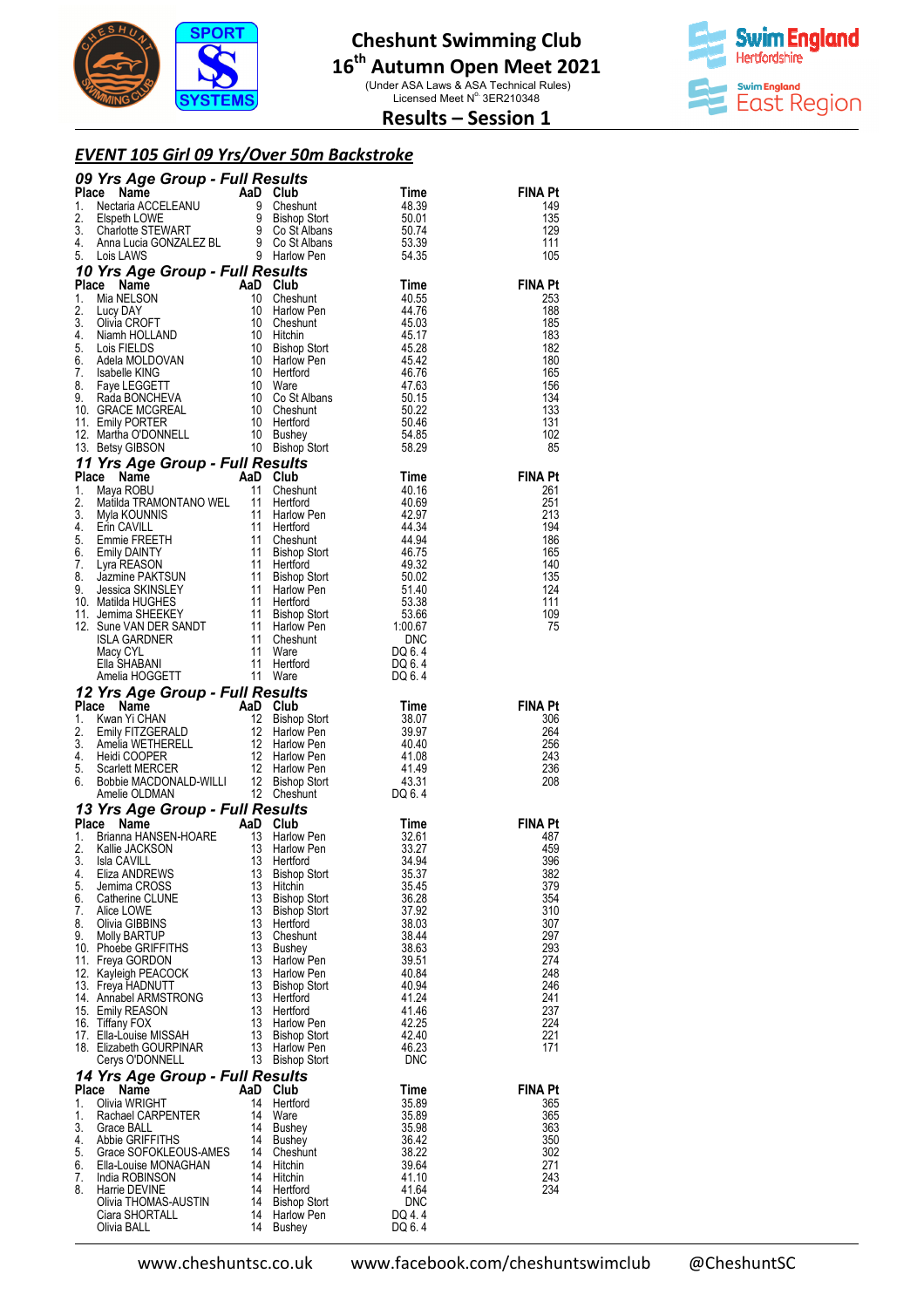

(Under ASA Laws & ASA Technical Rules)<br>Licensed Meet N° 3ER210348



## **Results – Session 1**

#### *EVENT 105 Girl 09 Yrs/Over 50m Backstroke*

|          | <b>09 Yrs Age Group - Full Results<br/> Place Name AaD Club Time<br/> 1. Nectaria ACCELEANU 9 Cheshunt 48.39<br/> 2. Elspeth LOWE 9 Bishop Stort 50.01<br/> 3. Charlotte STEWART 9 Co St Albans 50.74<br/> 4. Anna Lucia GONZALEZ BL 9 Go St Albans </b>        |          |                                    |                     |                       |
|----------|-----------------------------------------------------------------------------------------------------------------------------------------------------------------------------------------------------------------------------------------------------------------|----------|------------------------------------|---------------------|-----------------------|
|          |                                                                                                                                                                                                                                                                 |          |                                    |                     | <b>FINA Pt</b>        |
|          |                                                                                                                                                                                                                                                                 |          |                                    |                     | 149<br>135            |
|          |                                                                                                                                                                                                                                                                 |          |                                    |                     | 129                   |
|          |                                                                                                                                                                                                                                                                 |          |                                    |                     | 111<br>105            |
|          | 10 Yrs Age Group - Full Results<br>4. Manufacture and Chesture and Chesture and Chesture and Chesture and Chesture and Chesture and Chesture and Chesture and Chesture and Chesture and Chesture and Chesture and Chesture and Chesture and Chesture and Chestu |          |                                    |                     |                       |
|          |                                                                                                                                                                                                                                                                 |          | es <i>urts</i><br>Club<br>Cheshunt |                     | <b>FINA Pt</b>        |
|          |                                                                                                                                                                                                                                                                 |          |                                    |                     | 253                   |
|          |                                                                                                                                                                                                                                                                 |          |                                    |                     | 188<br>185            |
|          |                                                                                                                                                                                                                                                                 |          |                                    |                     | 183                   |
|          |                                                                                                                                                                                                                                                                 |          |                                    |                     | 182<br>180            |
|          |                                                                                                                                                                                                                                                                 |          |                                    |                     | 165                   |
|          |                                                                                                                                                                                                                                                                 |          |                                    |                     | 156                   |
|          |                                                                                                                                                                                                                                                                 |          |                                    |                     | 134<br>133            |
|          |                                                                                                                                                                                                                                                                 |          |                                    |                     | 131                   |
|          |                                                                                                                                                                                                                                                                 |          |                                    |                     | 102                   |
|          |                                                                                                                                                                                                                                                                 |          |                                    |                     | 85                    |
|          |                                                                                                                                                                                                                                                                 |          |                                    |                     | <b>FINA Pt</b>        |
|          |                                                                                                                                                                                                                                                                 |          |                                    |                     | 261                   |
|          |                                                                                                                                                                                                                                                                 |          |                                    |                     | 251                   |
|          |                                                                                                                                                                                                                                                                 |          |                                    |                     | 213<br>194            |
|          |                                                                                                                                                                                                                                                                 |          |                                    |                     | 186                   |
|          |                                                                                                                                                                                                                                                                 |          |                                    |                     | 165<br>140            |
|          |                                                                                                                                                                                                                                                                 |          |                                    |                     | 135                   |
|          |                                                                                                                                                                                                                                                                 |          |                                    |                     | 124                   |
|          |                                                                                                                                                                                                                                                                 |          |                                    |                     | 111<br>109            |
|          |                                                                                                                                                                                                                                                                 |          |                                    |                     | 75                    |
|          |                                                                                                                                                                                                                                                                 |          |                                    |                     |                       |
|          |                                                                                                                                                                                                                                                                 |          |                                    |                     |                       |
|          |                                                                                                                                                                                                                                                                 |          |                                    |                     |                       |
|          |                                                                                                                                                                                                                                                                 |          |                                    |                     |                       |
|          |                                                                                                                                                                                                                                                                 |          |                                    |                     | <b>FINA Pt</b><br>306 |
|          |                                                                                                                                                                                                                                                                 |          |                                    |                     | 264                   |
|          |                                                                                                                                                                                                                                                                 |          |                                    |                     | 256                   |
|          |                                                                                                                                                                                                                                                                 |          |                                    |                     | 243<br>236            |
|          |                                                                                                                                                                                                                                                                 |          |                                    |                     | 208                   |
|          |                                                                                                                                                                                                                                                                 |          |                                    |                     |                       |
|          | <b>13 Yrs Age Group - Full Results<br/> Place Name AaD Club<br/> 1. Brianna HANSEN-HOARE 13 Harlow Pen<br/> 2. Kallie JACKSON 13 Harlow Pen<br/> 3. Isla CAVILL 13 Hertford</b>                                                                                 |          |                                    |                     |                       |
|          |                                                                                                                                                                                                                                                                 |          |                                    | Time<br>32.61       | <b>FINA Pt</b><br>487 |
|          |                                                                                                                                                                                                                                                                 |          |                                    | 33.27               | 459                   |
| 3.<br>4. | <b>13</b> Hertford<br><b>Isla CAVILL</b><br>Eliza ANDREWS                                                                                                                                                                                                       | 13       | <b>Bishop Stort</b>                | 34.94<br>35.37      | 396<br>382            |
| 5.       | Jemima CROSS                                                                                                                                                                                                                                                    | 13       | Hitchin                            | 35.45               | 379                   |
| 6.       | Catherine CLUNE                                                                                                                                                                                                                                                 | 13       | <b>Bishop Stort</b>                | 36.28               | 354                   |
| 7.<br>8. | Alice LOWE<br>Olivia GIBBINS                                                                                                                                                                                                                                    | 13<br>13 | <b>Bishop Stort</b><br>Hertford    | 37.92<br>38.03      | 310<br>307            |
| 9.       | Molly BARTUP                                                                                                                                                                                                                                                    | 13       | Cheshunt                           | 38.44               | 297                   |
|          | 10. Phoebe GRIFFITHS<br>11. Freya GORDON                                                                                                                                                                                                                        | 13<br>13 | Bushey<br><b>Harlow Pen</b>        | 38.63<br>39.51      | 293<br>274            |
|          | 12. Kayleigh PEACOCK                                                                                                                                                                                                                                            | 13       | Harlow Pen                         | 40.84               | 248                   |
|          | 13. Freya HADNUTT                                                                                                                                                                                                                                               | 13       | Bishop Stort                       | 40.94               | 246                   |
|          | 14. Annabel ARMSTRONG<br>15. Emily REASON                                                                                                                                                                                                                       | 13<br>13 | Hertford<br>Hertford               | 41.24<br>41.46      | 241<br>237            |
|          | 16. Tittany FOX                                                                                                                                                                                                                                                 | 13       | Harlow Pen                         | 42.25               | 224                   |
|          | 17. Ella-Louise MISSAH                                                                                                                                                                                                                                          | 13       | <b>Bishop Stort</b>                | 42.40               | 221                   |
|          | 18. Elizabeth GOURPINAR<br>Cerys O'DONNELL                                                                                                                                                                                                                      | 13<br>13 | Harlow Pen<br>Bishop Stort         | 46.23<br><b>DNC</b> | 171                   |
|          | 14 Yrs Age Group - Full Results                                                                                                                                                                                                                                 |          |                                    |                     |                       |
| Place    | Name                                                                                                                                                                                                                                                            |          | AaD Club                           | Time                | FINA Pt               |
| 1.<br>1. | Olivia WRIGHT<br>Rachael CARPENTER                                                                                                                                                                                                                              | 14<br>14 | Hertford<br>Ware                   | 35.89<br>35.89      | 365<br>365            |
| 3.       | Grace BALL                                                                                                                                                                                                                                                      | 14       | Bushey                             | 35.98               | 363                   |
| 4.<br>5. | Abbie GRIFFITHS                                                                                                                                                                                                                                                 | 14<br>14 | Bushey                             | 36.42               | 350                   |
| 6.       | Grace SOFOKLEOUS-AMES<br>Ella-Louise MONAGHAN                                                                                                                                                                                                                   | 14       | Cheshunt<br>Hitchin                | 38.22<br>39.64      | 302<br>271            |
| 7.       | India ROBINSON                                                                                                                                                                                                                                                  | 14       | Hitchin                            | 41.10               | 243                   |
| 8.       | Harrie DEVINE<br>Olivia THOMAS-AUSTIN                                                                                                                                                                                                                           | 14<br>14 | Hertford<br><b>Bishop Stort</b>    | 41.64<br><b>DNC</b> | 234                   |
|          | Ciara SHORTALL                                                                                                                                                                                                                                                  | 14       | Harlow Pen                         | DQ 4.4              |                       |
|          | Olivia BALL                                                                                                                                                                                                                                                     | 14       | Bushey                             | DQ 6.4              |                       |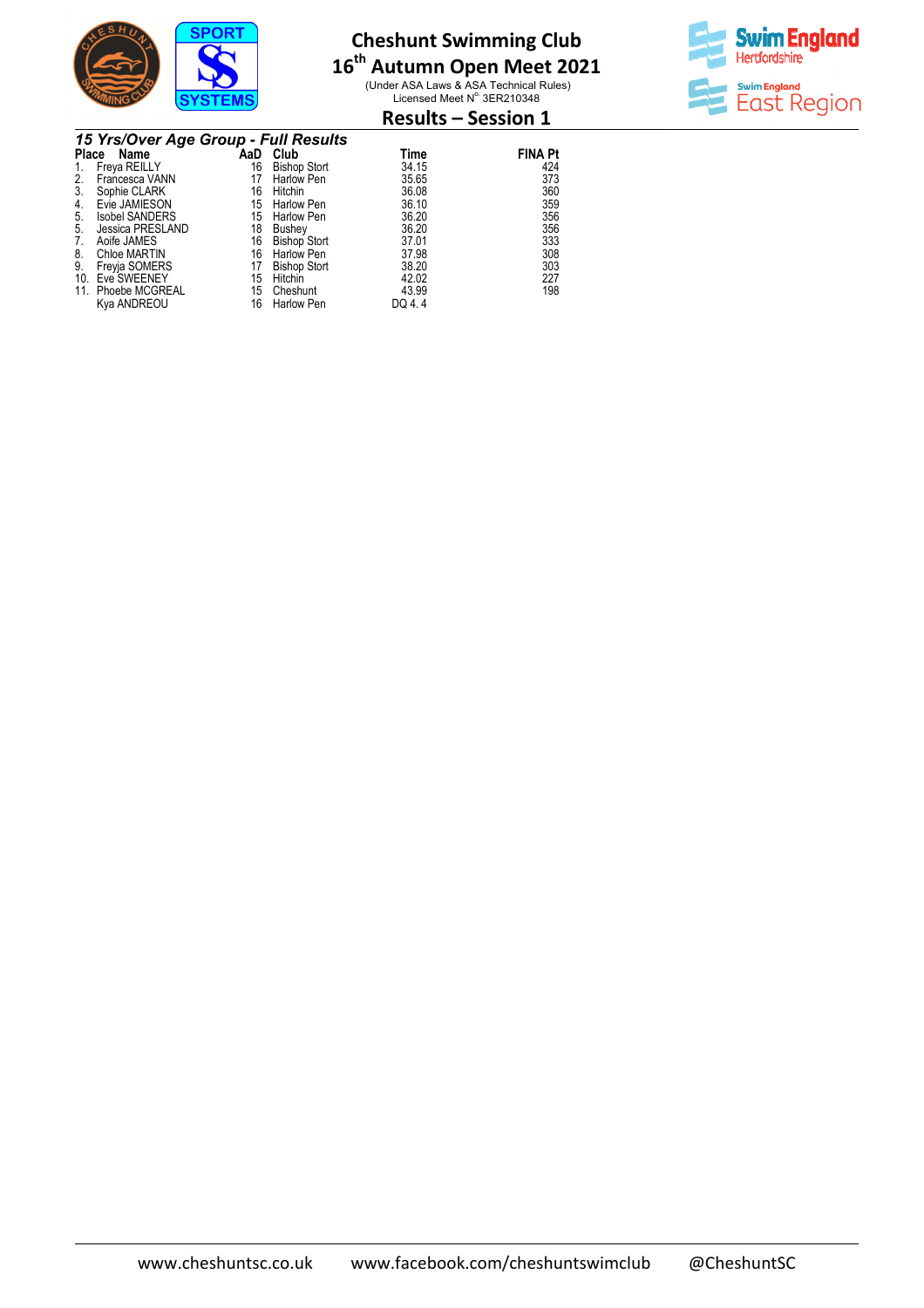

# **16 th Autumn Open Meet 2021**

(Under ASA Laws & ASA Technical Rules)<br>Licensed Meet N° 3ER210348



## **Results – Session 1**

|     | 15 Yrs/Over Age Group - Full Results |     |                     |        |                |  |  |  |  |
|-----|--------------------------------------|-----|---------------------|--------|----------------|--|--|--|--|
|     | Place<br>Name                        | AaD | Club                | Time   | <b>FINA Pt</b> |  |  |  |  |
|     | Freya REILLY                         | 16  | <b>Bishop Stort</b> | 34.15  | 424            |  |  |  |  |
| 2.  | Francesca VANN                       | 17  | Harlow Pen          | 35.65  | 373            |  |  |  |  |
| 3.  | Sophie CLARK                         | 16  | Hitchin             | 36.08  | 360            |  |  |  |  |
| 4.  | Evie JAMIESON                        | 15  | <b>Harlow Pen</b>   | 36.10  | 359            |  |  |  |  |
| 5.  | <b>Isobel SANDERS</b>                | 15  | <b>Harlow Pen</b>   | 36.20  | 356            |  |  |  |  |
| 5.  | Jessica PRESLAND                     | 18  | Bushey              | 36.20  | 356            |  |  |  |  |
|     | Aoife JAMES                          | 16  | <b>Bishop Stort</b> | 37.01  | 333            |  |  |  |  |
| 8.  | <b>Chloe MARTIN</b>                  | 16  | <b>Harlow Pen</b>   | 37.98  | 308            |  |  |  |  |
| 9.  | Freyja SOMERS                        | 17  | <b>Bishop Stort</b> | 38.20  | 303            |  |  |  |  |
| 10. | Eve SWEENEY                          | 15  | Hitchin             | 42.02  | 227            |  |  |  |  |
|     | 11. Phoebe MCGREAL                   | 15  | Cheshunt            | 43.99  | 198            |  |  |  |  |
|     | Kya ANDREOU                          | 16  | <b>Harlow Pen</b>   | DQ 4.4 |                |  |  |  |  |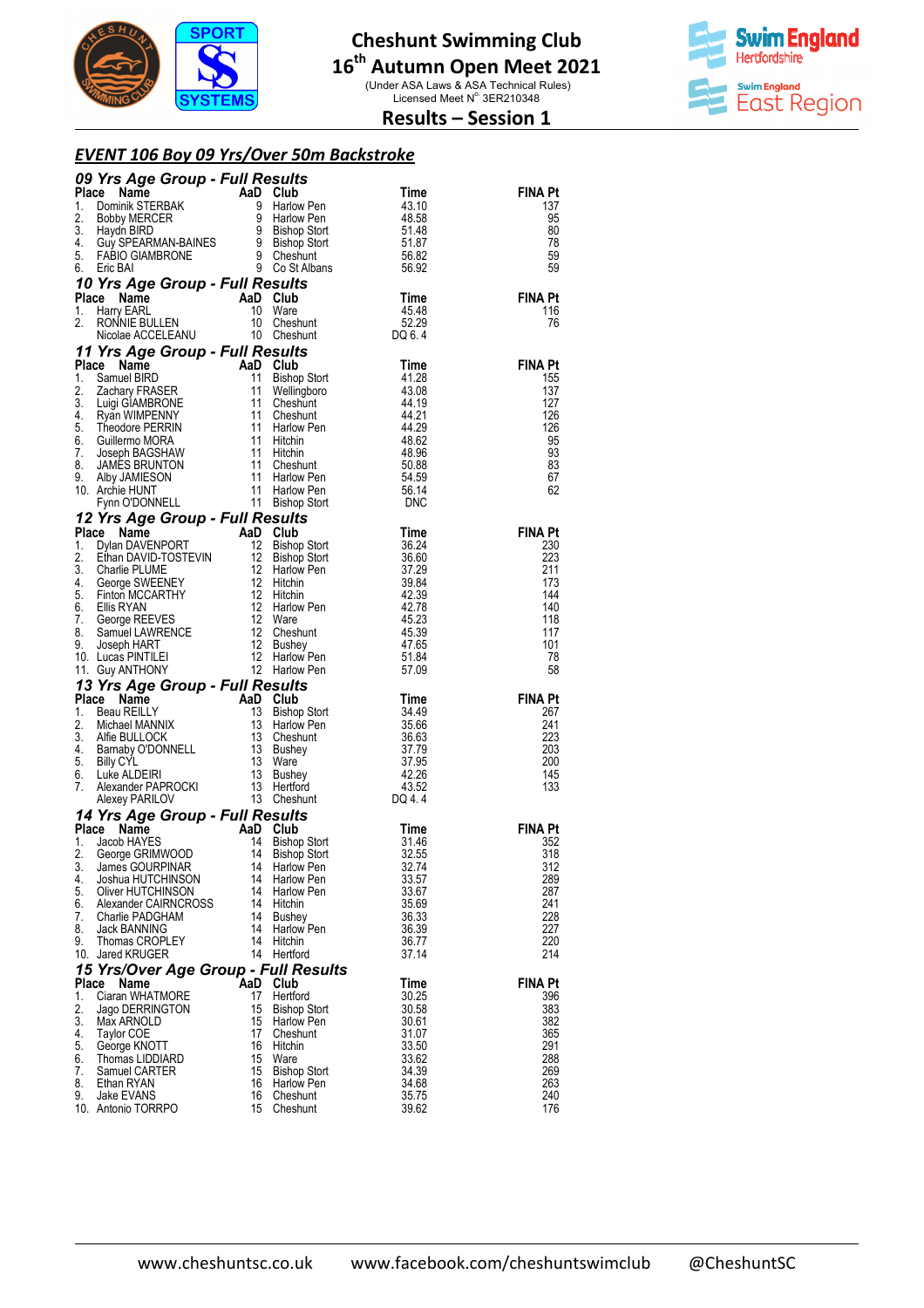

(Under ASA Laws & ASA Technical Rules)<br>Licensed Meet N° 3ER210348



## **Results – Session 1**

#### *EVENT 106 Boy 09 Yrs/Over 50m Backstroke*

| <b>09 Yrs Age Group - Full Results</b><br>Time<br>1. Dominik STERBAK<br>2. Bobby MERCER<br>2. Bobby MERCER<br>9 Harlow Pen<br>4. Suyd BIRD<br>4. Guy SPEARMAN-BAINES<br>5. FABIO GIAMBRONE<br>5. FABIO GIAMBRONE<br>6. Eric BAI<br>1. Constalling<br>1. Con                                                                                                                                                                                                                            |          |                                   |                   |                       |
|----------------------------------------------------------------------------------------------------------------------------------------------------------------------------------------------------------------------------------------------------------------------------------------------------------------------------------------------------------------------------------------------------------------------------------------------------------------------------------------|----------|-----------------------------------|-------------------|-----------------------|
|                                                                                                                                                                                                                                                                                                                                                                                                                                                                                        |          |                                   |                   | <b>FINA Pt</b>        |
|                                                                                                                                                                                                                                                                                                                                                                                                                                                                                        |          |                                   |                   | 137                   |
|                                                                                                                                                                                                                                                                                                                                                                                                                                                                                        |          |                                   |                   | 95<br>80              |
|                                                                                                                                                                                                                                                                                                                                                                                                                                                                                        |          |                                   |                   | 78                    |
|                                                                                                                                                                                                                                                                                                                                                                                                                                                                                        |          |                                   |                   | 59                    |
|                                                                                                                                                                                                                                                                                                                                                                                                                                                                                        |          |                                   |                   | 59                    |
| 10 Yrs Age Group - Full Results                                                                                                                                                                                                                                                                                                                                                                                                                                                        |          |                                   |                   |                       |
|                                                                                                                                                                                                                                                                                                                                                                                                                                                                                        |          |                                   | Time<br>45.48     | <b>FINA Pt</b><br>116 |
|                                                                                                                                                                                                                                                                                                                                                                                                                                                                                        |          |                                   | 52.29             | 76                    |
|                                                                                                                                                                                                                                                                                                                                                                                                                                                                                        |          |                                   | DQ 6.4            |                       |
| Place Name AaD Club<br>1. Harry EARL 10 Ware<br>2. RONNIE BULLEN 10 Cheshunt<br>Nicolae ACCELEANU 10 Cheshunt<br>11 Yrs Age Group - Full Results<br>Place Name AaD Club<br>11 Yrs Age Group - Full Results<br>1. Samuel BIRD<br>Nicolae ACCELEANTO<br>Comment Control of the Samuel BIRD<br>Samuel BIRD<br>2 Zachary FRASER<br>Lugi GIAMBEND<br>Lugi GIAMBEND<br>Example 11 Cheshunt<br>Theodore PERRIN<br>Theodore PERRIN<br>11 Cheshunt<br>11 Harlow Pen<br>3 44.29<br>Guillermo MOR |          |                                   |                   |                       |
|                                                                                                                                                                                                                                                                                                                                                                                                                                                                                        |          |                                   |                   | <b>FINA Pt</b>        |
| 1.                                                                                                                                                                                                                                                                                                                                                                                                                                                                                     |          |                                   |                   | 155                   |
| 2.<br>3.                                                                                                                                                                                                                                                                                                                                                                                                                                                                               |          |                                   |                   | 137<br>127            |
| 4.                                                                                                                                                                                                                                                                                                                                                                                                                                                                                     |          |                                   |                   | 126                   |
| 5.                                                                                                                                                                                                                                                                                                                                                                                                                                                                                     |          |                                   |                   | 126                   |
| 6.                                                                                                                                                                                                                                                                                                                                                                                                                                                                                     |          |                                   |                   | 95                    |
| 7.<br>8.                                                                                                                                                                                                                                                                                                                                                                                                                                                                               |          |                                   |                   | 93                    |
| 9.                                                                                                                                                                                                                                                                                                                                                                                                                                                                                     |          |                                   |                   | 83<br>67              |
| 10. Archie HUNT                                                                                                                                                                                                                                                                                                                                                                                                                                                                        |          |                                   |                   | 62                    |
|                                                                                                                                                                                                                                                                                                                                                                                                                                                                                        |          |                                   |                   |                       |
| 12 Yrs Age Group - Full Results<br>12 Vrs Age Group - Full Results<br>Place Name<br>1. Dylan DAVENPORT 12 Bishop Stort 36.24<br>2. Ethan DAVID-TOSTEVIN 12 Bishop Stort 36.60<br>3. Charlie PLUME<br>4. George SWEENEY 12 Hirtchin 39.84<br>4. George SWEENEY 12 Hirtchin 39.                                                                                                                                                                                                          |          |                                   |                   |                       |
|                                                                                                                                                                                                                                                                                                                                                                                                                                                                                        |          |                                   |                   | <b>FINA Pt</b>        |
|                                                                                                                                                                                                                                                                                                                                                                                                                                                                                        |          |                                   |                   | 230<br>223            |
|                                                                                                                                                                                                                                                                                                                                                                                                                                                                                        |          |                                   |                   | 211                   |
|                                                                                                                                                                                                                                                                                                                                                                                                                                                                                        |          |                                   |                   | 173                   |
|                                                                                                                                                                                                                                                                                                                                                                                                                                                                                        |          |                                   |                   | 144                   |
|                                                                                                                                                                                                                                                                                                                                                                                                                                                                                        |          |                                   |                   | 140                   |
|                                                                                                                                                                                                                                                                                                                                                                                                                                                                                        |          |                                   |                   | 118<br>117            |
|                                                                                                                                                                                                                                                                                                                                                                                                                                                                                        |          |                                   |                   | 101                   |
|                                                                                                                                                                                                                                                                                                                                                                                                                                                                                        |          |                                   |                   | 78                    |
|                                                                                                                                                                                                                                                                                                                                                                                                                                                                                        |          |                                   |                   | 58                    |
| 11. Guy ANTHONY 12 Harlow Fell<br><b>1. Guy ANTHONY</b> 12 Harlow Fell<br><b>Place Name AaD Club</b><br>1. Beau REILLY 13 Bishop Stort 34.49<br>2. Michael MANNIX 13 Harlow Pen 35.66<br>3. Alfie BULLOCK 13 Cheshunt 36.63<br>4.79<br>5. Billy CYL 13                                                                                                                                                                                                                                 |          |                                   |                   |                       |
|                                                                                                                                                                                                                                                                                                                                                                                                                                                                                        |          |                                   |                   | FINA Pt<br>267        |
|                                                                                                                                                                                                                                                                                                                                                                                                                                                                                        |          |                                   |                   | 241                   |
|                                                                                                                                                                                                                                                                                                                                                                                                                                                                                        |          |                                   |                   | 223                   |
|                                                                                                                                                                                                                                                                                                                                                                                                                                                                                        |          |                                   |                   | 203                   |
|                                                                                                                                                                                                                                                                                                                                                                                                                                                                                        |          |                                   |                   | 200<br>145            |
|                                                                                                                                                                                                                                                                                                                                                                                                                                                                                        |          |                                   |                   | 133                   |
|                                                                                                                                                                                                                                                                                                                                                                                                                                                                                        |          |                                   |                   |                       |
| <b>14 Yrs Age Group - Full Results<br/> Place Name AaD Club<br/> 1. Jacob HAYES 14 Bishop Stort<br/> 2. George GRIMWOOD 14 Bishop Stort<br/> 14 Bishop Stort</b>                                                                                                                                                                                                                                                                                                                       |          |                                   |                   |                       |
|                                                                                                                                                                                                                                                                                                                                                                                                                                                                                        |          |                                   | $Time$<br>$31.46$ | <b>FINA Pt</b>        |
|                                                                                                                                                                                                                                                                                                                                                                                                                                                                                        |          |                                   |                   | 352                   |
| James GOURPINAR<br>3.                                                                                                                                                                                                                                                                                                                                                                                                                                                                  | - 14     | Harlow Pen                        | 32.55<br>32.74    | 318<br>312            |
| 4.<br>Joshua HUTCHINSON                                                                                                                                                                                                                                                                                                                                                                                                                                                                | 14       | <b>Harlow Pen</b>                 | 33.57             | 289                   |
| 5.<br>Oliver HUTCHINSON                                                                                                                                                                                                                                                                                                                                                                                                                                                                | 14       | Harlow Pen                        | 33.67             | 287                   |
| 6.<br>Alexander CAIRNCROSS                                                                                                                                                                                                                                                                                                                                                                                                                                                             | 14       | Hitchin                           | 35.69             | 241                   |
| Charlie PADGHAM<br>7.<br>8.<br><b>Jack BANNING</b>                                                                                                                                                                                                                                                                                                                                                                                                                                     | 14<br>14 | Bushey<br>Harlow Pen              | 36.33<br>36.39    | 228<br>227            |
| Thomas CROPLEY<br>9.                                                                                                                                                                                                                                                                                                                                                                                                                                                                   | 14       | Hitchin                           | 36.77             | 220                   |
| 10. Jared KRUGER                                                                                                                                                                                                                                                                                                                                                                                                                                                                       | 14       | Hertford                          | 37.14             | 214                   |
| 15 Yrs/Over Age Group - Full Results                                                                                                                                                                                                                                                                                                                                                                                                                                                   |          |                                   |                   |                       |
| Place<br>Name                                                                                                                                                                                                                                                                                                                                                                                                                                                                          | AaD      | Club                              | Time              | FINA Pt               |
| Ciaran WHATMORE<br>1.<br>2.<br>Jago DERRINGTON                                                                                                                                                                                                                                                                                                                                                                                                                                         | 17<br>15 | Hertford<br><b>Bishop Stort</b>   | 30.25<br>30.58    | 396<br>383            |
| 3.<br>Max ARNOLD                                                                                                                                                                                                                                                                                                                                                                                                                                                                       | 15       | Harlow Pen                        | 30.61             | 382                   |
| 4.<br>Taylor COE                                                                                                                                                                                                                                                                                                                                                                                                                                                                       | 17       | Cheshunt                          | 31.07             | 365                   |
| 5.<br>George KNOTT                                                                                                                                                                                                                                                                                                                                                                                                                                                                     | 16       | Hitchin                           | 33.50             | 291                   |
| 6.<br>Thomas LIDDIARD<br>7.<br>Samuel CARTER                                                                                                                                                                                                                                                                                                                                                                                                                                           | 15<br>15 | Ware                              | 33.62<br>34.39    | 288<br>269            |
| Ethan RYAN<br>8.                                                                                                                                                                                                                                                                                                                                                                                                                                                                       | 16       | <b>Bishop Stort</b><br>Harlow Pen | 34.68             | 263                   |
| 9.<br>Jake EVANS                                                                                                                                                                                                                                                                                                                                                                                                                                                                       | 16       | Cheshunt                          | 35.75             | 240                   |
| 10. Antonio TORRPO                                                                                                                                                                                                                                                                                                                                                                                                                                                                     | 15       | Cheshunt                          | 39.62             | 176                   |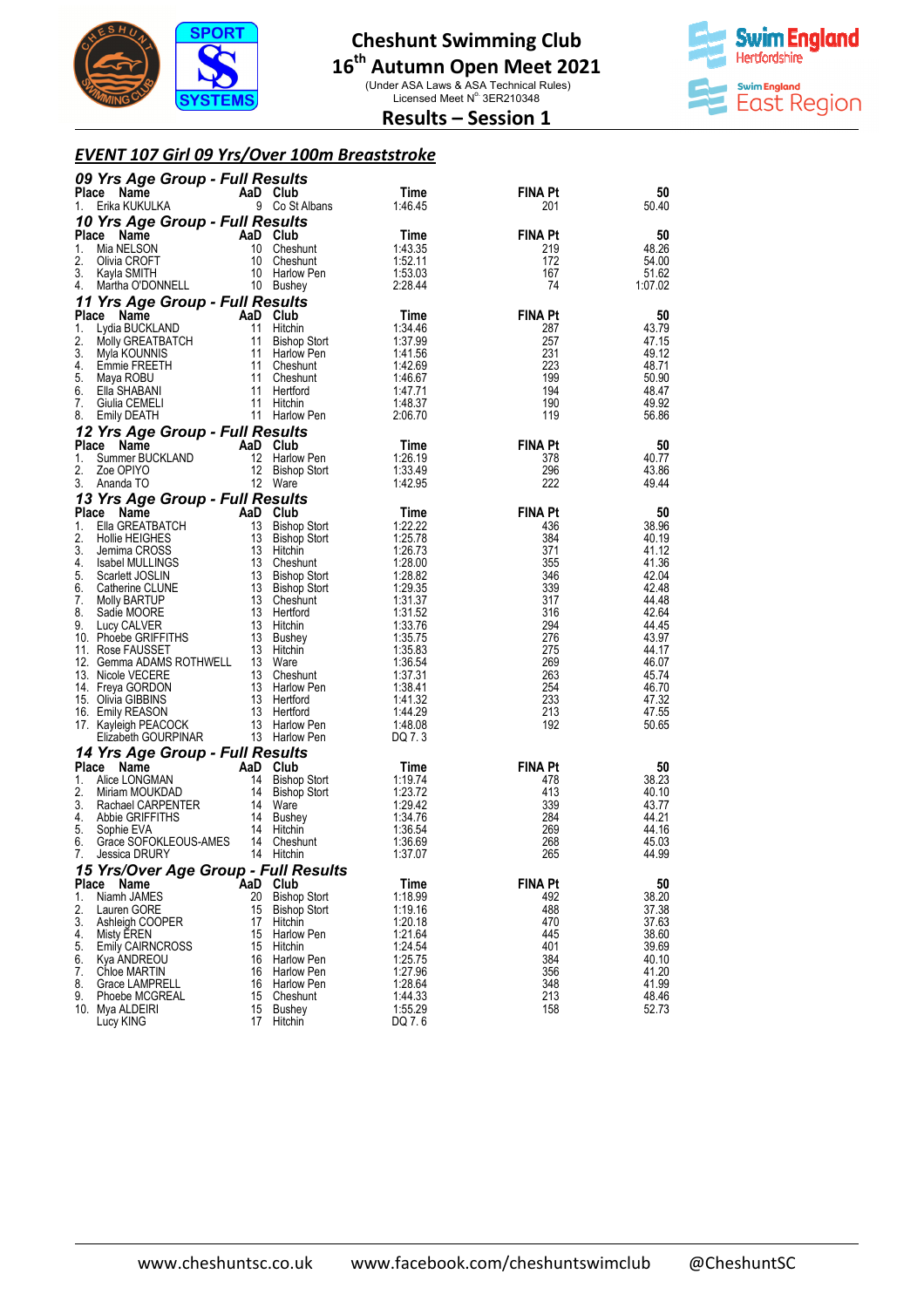

# **16 th Autumn Open Meet 2021**

(Under ASA Laws & ASA Technical Rules)<br>Licensed Meet N° 3ER210348



**Results – Session 1** 

### *EVENT 107 Girl 09 Yrs/Over 100m Breaststroke*

|              | 09 Yrs Age Group - Full Results              |          |                                    |                    |                       |                |
|--------------|----------------------------------------------|----------|------------------------------------|--------------------|-----------------------|----------------|
|              | Place Name                                   |          | AaD Club                           | Time               | FINA Pt               | 50             |
| 1.           | Erika KUKULKA                                |          | 9 Co St Albans                     | 1:46.45            | 201                   | 50.40          |
|              | 10 Yrs Age Group - Full Results              |          |                                    |                    |                       |                |
| Place<br>1.  | Name<br>Mia NELSON                           |          | AaD Club<br>10 Cheshunt            | Time<br>1:43.35    | <b>FINA Pt</b><br>219 | 50<br>48.26    |
| 2.           | Olivia CROFT                                 |          | 10 Cheshunt                        | 1:52.11            | 172                   | 54.00          |
| 3.           | Kayla SMITH                                  |          | 10 Harlow Pen                      | 1:53.03            | 167                   | 51.62          |
| 4.           | Martha O'DONNELL                             |          | 10 Bushey                          | 2:28.44            | 74                    | 1:07.02        |
|              | 11 Yrs Age Group - Full Results              |          |                                    |                    |                       |                |
|              | Place Name                                   |          | AaD Club                           | Time               | <b>FINA Pt</b>        | 50             |
| 1.<br>2.     | Lydia BUCKLAND                               | 11       | Hitchin<br>11 Bishop Stort         | 1:34.46<br>1:37.99 | 287<br>257            | 43.79<br>47.15 |
| 3.           | Molly GREATBATCH<br>Myla KOUNNIS             |          | 11 Harlow Pen                      | 1:41.56            | 231                   | 49.12          |
| 4.           | Emmie FREETH                                 |          | 11 Cheshunt                        | 1:42.69            | 223                   | 48.71          |
| 5.           | Maya ROBU                                    |          | 11 Cheshunt                        | 1:46.67            | 199                   | 50.90          |
| 6.           | Ella SHABANI                                 |          | 11 Hertford<br>11 Hitchin          | 1:47.71            | 194                   | 48.47          |
| 7.<br>8.     | Giulia CEMELI<br>Emily DEATH                 |          | 11 Harlow Pen                      | 1:48.37<br>2:06.70 | 190<br>119            | 49.92<br>56.86 |
|              | 12 Yrs Age Group - Full Results              |          |                                    |                    |                       |                |
|              | Place Name                                   |          | AaD Club                           | Time               | <b>FINA Pt</b>        | 50             |
| 1.           | Summer BUCKLAND                              |          | 12 Harlow Pen                      | 1:26.19            | 378                   | 40.77          |
| 2.           | Zoe OPIYO                                    | 12       | Bishop Stort                       | 1:33.49            | 296                   | 43.86          |
| 3.           | Ananda TO                                    |          | 12 Ware                            | 1:42.95            | 222                   | 49.44          |
|              | 13 Yrs Age Group - Full Results              |          |                                    |                    |                       |                |
| 1.           | Place Name<br>Ella GREATBATCH                | 13       | AaD Club<br>Bishop Stort           | Time<br>1:22.22    | <b>FINA Pt</b><br>436 | 50<br>38.96    |
| 2.           | <b>Hollie HEIGHES</b>                        |          | 13 Bishop Stort                    | 1:25.78            | 384                   | 40.19          |
| 3.           | Jemima CROSS                                 |          | 13 Hitchin                         | 1:26.73            | 371                   | 41.12          |
| 4.           | Isabel MULLINGS                              |          | 13 Cheshunt                        | 1:28.00            | 355                   | 41.36          |
| 5.<br>6.     | Scarlett JOSLIN<br>Catherine CLUNE           |          | 13 Bishop Stort<br>13 Bishop Stort | 1:28.82<br>1:29.35 | 346<br>339            | 42.04<br>42.48 |
| 7.           | Molly BARTUP                                 |          | 13 Cheshunt                        | 1:31.37            | 317                   | 44.48          |
| 8.           | Sadie MOORE                                  |          | 13 Hertford                        | 1:31.52            | 316                   | 42.64          |
| 9.           | Lucy CALVER                                  |          | 13 Hitchin                         | 1:33.76            | 294                   | 44.45          |
|              | 10. Phoebe GRIFFITHS                         |          | 13 Bushey<br>13 Hitchin            | 1:35.75            | 276                   | 43.97<br>44.17 |
|              | 11. Rose FAUSSET<br>12. Gemma ADAMS ROTHWELL |          | 13 Ware                            | 1:35.83<br>1:36.54 | 275<br>269            | 46.07          |
|              | 13. Nicole VECERE                            |          | 13 Cheshunt                        | 1:37.31            | 263                   | 45.74          |
|              | 14. Freya GORDON                             |          | 13 Harlow Pen                      | 1:38.41            | 254                   | 46.70          |
|              | 15. Olivia GIBBINS                           |          | 13 Hertford<br>13 Hertford         | 1:41.32            | 233<br>213            | 47.32          |
|              | 16. Emily REASON<br>17. Kayleigh PEACOCK     |          | 13 Harlow Pen                      | 1:44.29<br>1:48.08 | 192                   | 47.55<br>50.65 |
|              | Elizabeth GOURPINAR                          |          | 13 Harlow Pen                      | DQ 7.3             |                       |                |
|              | 14 Yrs Age Group - Full Results              |          |                                    |                    |                       |                |
| <b>Place</b> | Name                                         |          | AaD Club                           | Time               | <b>FINA Pt</b>        | 50             |
| 1.           | Alice LONGMAN                                |          | 14 Bishop Stort                    | 1:19.74            | 478                   | 38.23          |
| 2.<br>3.     | Miriam MOUKDAD<br>Rachael CARPENTER          |          | 14 Bishop Stort<br>14 Ware         | 1:23.72<br>1:29.42 | 413<br>339            | 40.10<br>43.77 |
| 4.           | Abbie GRIFFITHS                              |          | 14 Bushey                          | 1:34.76            | 284                   | 44.21          |
| 5.           | Sophie EVA                                   |          | 14 Hitchin                         | 1:36.54            | 269                   | 44.16          |
| 6.           | Grace SOFOKLEOUS-AMES 14 Cheshunt            |          |                                    | 1:36.69            | 268                   | 45.03          |
| 7.           | Jessica DRURY                                |          | 14 Hitchin                         | 1:37.07            | 265                   | 44.99          |
|              | 15 Yrs/Over Age Group - Full Results         |          |                                    |                    |                       |                |
| 1.           | Place Name<br>Niamh JAMES                    | 20       | AaD Club<br><b>Bishop Stort</b>    | Time<br>1:18.99    | <b>FINA Pt</b><br>492 | 50<br>38.20    |
| 2.           | Lauren GORE                                  | 15       | <b>Bishop Stort</b>                | 1:19.16            | 488                   | 37.38          |
| 3.           | Ashleigh COOPER                              | 17       | Hitchin                            | 1:20.18            | 470                   | 37.63          |
| 4.           | Misty EREN                                   | 15       | Harlow Pen                         | 1:21.64            | 445                   | 38.60          |
| 5.<br>6.     | <b>Emily CAIRNCROSS</b><br>Kya ANDREOU       | 15<br>16 | Hitchin<br><b>Harlow Pen</b>       | 1:24.54<br>1:25.75 | 401<br>384            | 39.69<br>40.10 |
| 7.           | Chloe MARTIN                                 | 16       | <b>Harlow Pen</b>                  | 1:27.96            | 356                   | 41.20          |
| 8.           | Grace LAMPRELL                               | 16       | Harlow Pen                         | 1:28.64            | 348                   | 41.99          |
| 9.           | Phoebe MCGREAL                               |          | 15 Cheshunt                        | 1:44.33            | 213                   | 48.46          |
|              | 10. Mya ALDEIRI<br>Lucy KING                 | 15<br>17 | Bushey<br>Hitchin                  | 1:55.29<br>DQ 7.6  | 158                   | 52.73          |
|              |                                              |          |                                    |                    |                       |                |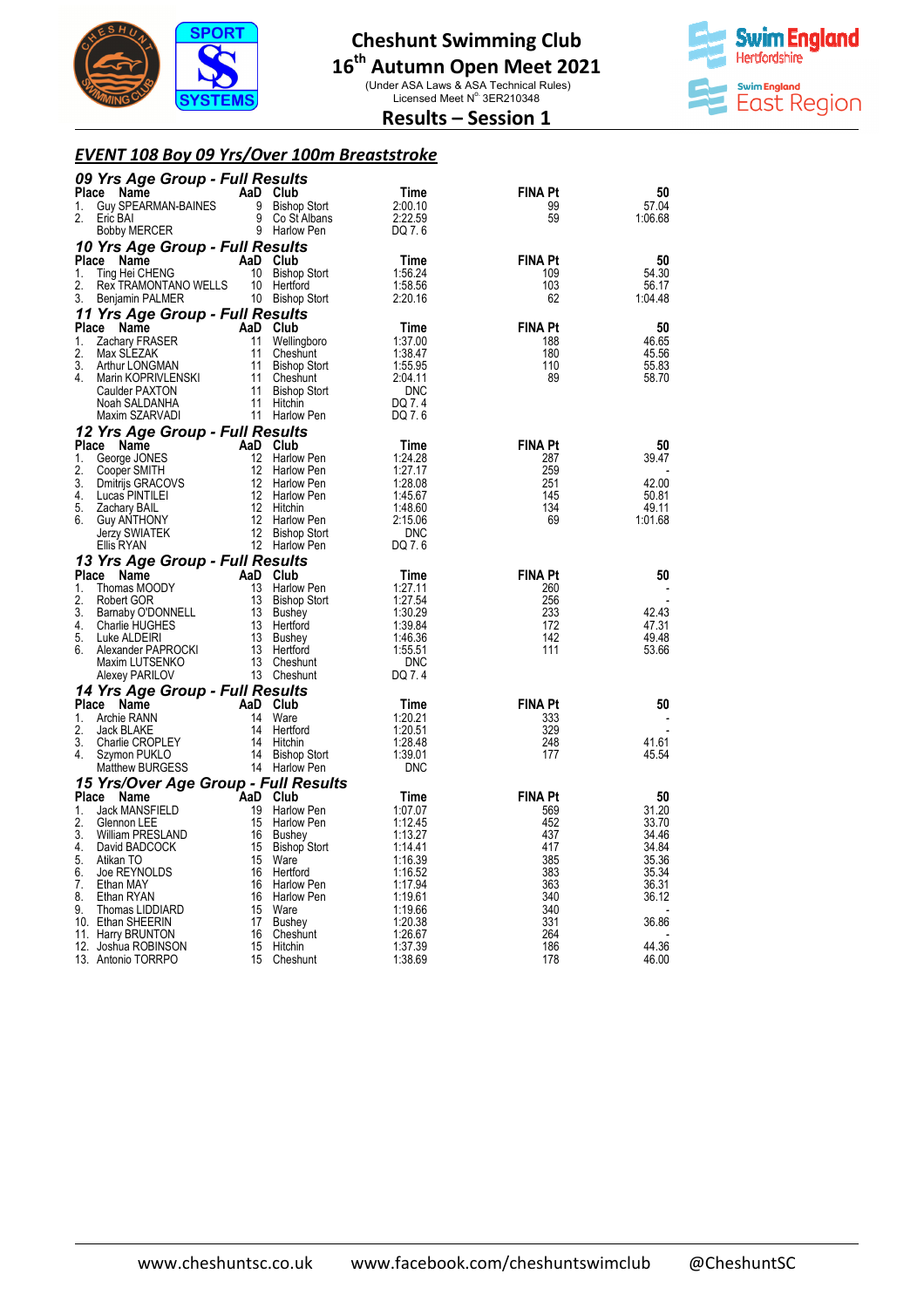

(Under ASA Laws & ASA Technical Rules)<br>Licensed Meet N° 3ER210348



## **Results – Session 1**

#### *EVENT 108 Boy 09 Yrs/Over 100m Breaststroke*

|              | 09 Yrs Age Group - Full Results           |                |                               |                       |                |                  |
|--------------|-------------------------------------------|----------------|-------------------------------|-----------------------|----------------|------------------|
| <b>Place</b> | Name                                      |                | AaD Club                      | Time                  | FINA Pt        | 50               |
| 1.           | Guy SPEARMAN-BAINES                       | 9              | <b>Bishop Stort</b>           | 2:00.10               | 99             | 57.04            |
| 2.           | Eric BAI                                  | 9              | Co St Albans                  | 2:22.59               | 59             | 1:06.68          |
|              | Bobby MERCER                              |                | 9 Harlow Pen                  | DQ 7.6                |                |                  |
|              | 10 Yrs Age Group - Full Results           |                |                               |                       |                |                  |
| Place        | Name                                      |                | AaD Club                      | Time                  | <b>FINA Pt</b> | 50               |
| 1.           | Ting Hei CHENG                            |                | 10 Bishop Stort               | 1:56.24               | 109            | 54.30            |
| 2.           | Rex TRAMONTANO WELLS                      |                | 10 Hertford                   | 1:58.56               | 103<br>62      | 56.17            |
| 3.           | Benjamin PALMER                           |                | 10 Bishop Stort               | 2:20.16               |                | 1:04.48          |
|              | 11 Yrs Age Group - Full Results           |                |                               |                       |                |                  |
|              | Place Name                                | AaD Club<br>11 |                               | Time                  | <b>FINA Pt</b> | 50               |
| 1.<br>2.     | Zachary FRASER<br>Max SLEZAK              | 11             | Wellingboro<br>Cheshunt       | 1:37.00<br>1:38.47    | 188<br>180     | 46.65<br>45.56   |
| 3.           | Arthur LONGMAN                            | 11             | <b>Bishop Stort</b>           | 1:55.95               | 110            | 55.83            |
| 4.           | Marin KOPRIVLENSKI                        | 11             | Cheshunt                      | 2:04.11               | 89             | 58.70            |
|              | <b>Caulder PAXTON</b>                     |                | 11 Bishop Stort               | <b>DNC</b>            |                |                  |
|              | Noah SALDANHA                             |                | 11 Hitchin                    | DQ 7.4                |                |                  |
|              | Maxim SZARVADI                            |                | 11 Harlow Pen                 | DQ 7.6                |                |                  |
|              | 12 Yrs Age Group - Full Results           |                |                               |                       |                |                  |
|              | Place Name                                | AaD Club       |                               | Time                  | <b>FINA Pt</b> | 50               |
| 1.           | George JONES                              |                | 12 Harlow Pen                 | 1:24.28               | 287            | 39.47            |
| 2.           | Cooper SMITH                              | 12             | <b>Harlow Pen</b>             | 1:27.17               | 259            |                  |
| 3.           | Dmitrijs GRACOVS                          | 12             | Harlow Pen                    | 1:28.08               | 251            | 42.00            |
| 4.           | Lucas PINTILEI                            |                | 12 Harlow Pen                 | 1:45.67               | 145            | 50.81            |
| 5.<br>6.     | <b>Zachary BAIL</b>                       |                | 12 Hitchin<br>12 Harlow Pen   | 1:48.60<br>2:15.06    | 134<br>69      | 49.11<br>1:01.68 |
|              | <b>Guy ANTHONY</b><br>Jerzy SWIATEK       |                | 12 Bishop Stort               | <b>DNC</b>            |                |                  |
|              | Ellis RYAN                                |                | 12 Harlow Pen                 | DQ 7.6                |                |                  |
|              | 13 Yrs Age Group - Full Results           |                |                               |                       |                |                  |
|              |                                           |                |                               |                       |                |                  |
|              |                                           |                |                               |                       |                |                  |
| Place<br>1.  | Name                                      |                | AaD Club                      | Time                  | <b>FINA Pt</b> | 50               |
| 2.           | Thomas MOODY<br>Robert GOR                | 13<br>13       | Harlow Pen                    | 1:27.11<br>1:27.54    | 260<br>256     |                  |
| 3.           | Bamaby O'DONNELL                          | 13             | <b>Bishop Stort</b><br>Bushey | 1:30.29               | 233            | 42.43            |
| 4.           | Charlie HUGHES                            |                | 13 Hertford                   | 1:39.84               | 172            | 47.31            |
| 5.           | Luke ALDEIRI                              | 13             | Bushey                        | 1:46.36               | 142            | 49.48            |
| 6.           | Alexander PAPROCKI                        | 13             | Hertford                      | 1:55.51               | 111            | 53.66            |
|              | Maxim LUTSENKO                            |                | 13 Cheshunt                   | <b>DNC</b>            |                |                  |
|              | Alexey PARILOV                            |                | 13 Cheshunt                   | DQ 7.4                |                |                  |
|              | 14 Yrs Age Group - Full Results           |                |                               |                       |                |                  |
| Place        | Name                                      | AaD            | Club                          | Time                  | <b>FINA Pt</b> | 50               |
| 1.           | Archie RANN                               | 14             | Ware                          | 1:20.21               | 333            |                  |
| 2.           | Jack BLAKE                                | 14             | Hertford                      | 1:20.51               | 329            |                  |
| 3.<br>4.     | Charlie CROPLEY                           |                | 14 Hitchin                    | 1:28.48               | 248            | 41.61            |
|              | Szymon PUKLO                              |                | 14 Bishop Stort               | 1:39.01<br><b>DNC</b> | 177            | 45.54            |
|              | Matthew BURGESS                           |                | 14 Harlow Pen                 |                       |                |                  |
| Place        | 15 Yrs/Over Age Group - Full Results      |                |                               |                       | <b>FINA Pt</b> |                  |
| 1.           | Name<br><b>Jack MANSFIELD</b>             | 19             | AaD Club<br>Harlow Pen        | Time<br>1:07.07       | 569            | 50<br>31.20      |
| 2.           | Glennon LEE                               | 15             | Harlow Pen                    | 1:12.45               | 452            | 33.70            |
| 3.           | William PRESLAND                          | 16             | Bushey                        | 1:13.27               | 437            | 34.46            |
| 4.           | David BADCOCK                             | 15             | <b>Bishop Stort</b>           | 1:14.41               | 417            | 34.84            |
| 5.           | Atikan TO                                 | 15             | Ware                          | 1:16.39               | 385            | 35.36            |
| 6.           | Joe REYNOLDS                              | 16             | Hertford                      | 1:16.52               | 383            | 35.34            |
| 7.           | Ethan MAY                                 | 16             | Harlow Pen                    | 1:17.94               | 363            | 36.31            |
| 8.<br>9.     | Ethan RYAN                                | 16             | Harlow Pen                    | 1:19.61               | 340            | 36.12            |
|              | Thomas LIDDIARD<br>10. Ethan SHEERIN      | 15<br>17       | Ware                          | 1:19.66<br>1:20.38    | 340<br>331     | 36.86            |
|              | 11. Harry BRUNTON                         | 16             | <b>Bushey</b><br>Cheshunt     | 1.26.67               | 264            |                  |
|              | 12. Joshua ROBINSON<br>13. Antonio TORRPO | 15<br>15       | Hitchin<br>Cheshunt           | 1:37.39<br>1:38.69    | 186<br>178     | 44.36<br>46.00   |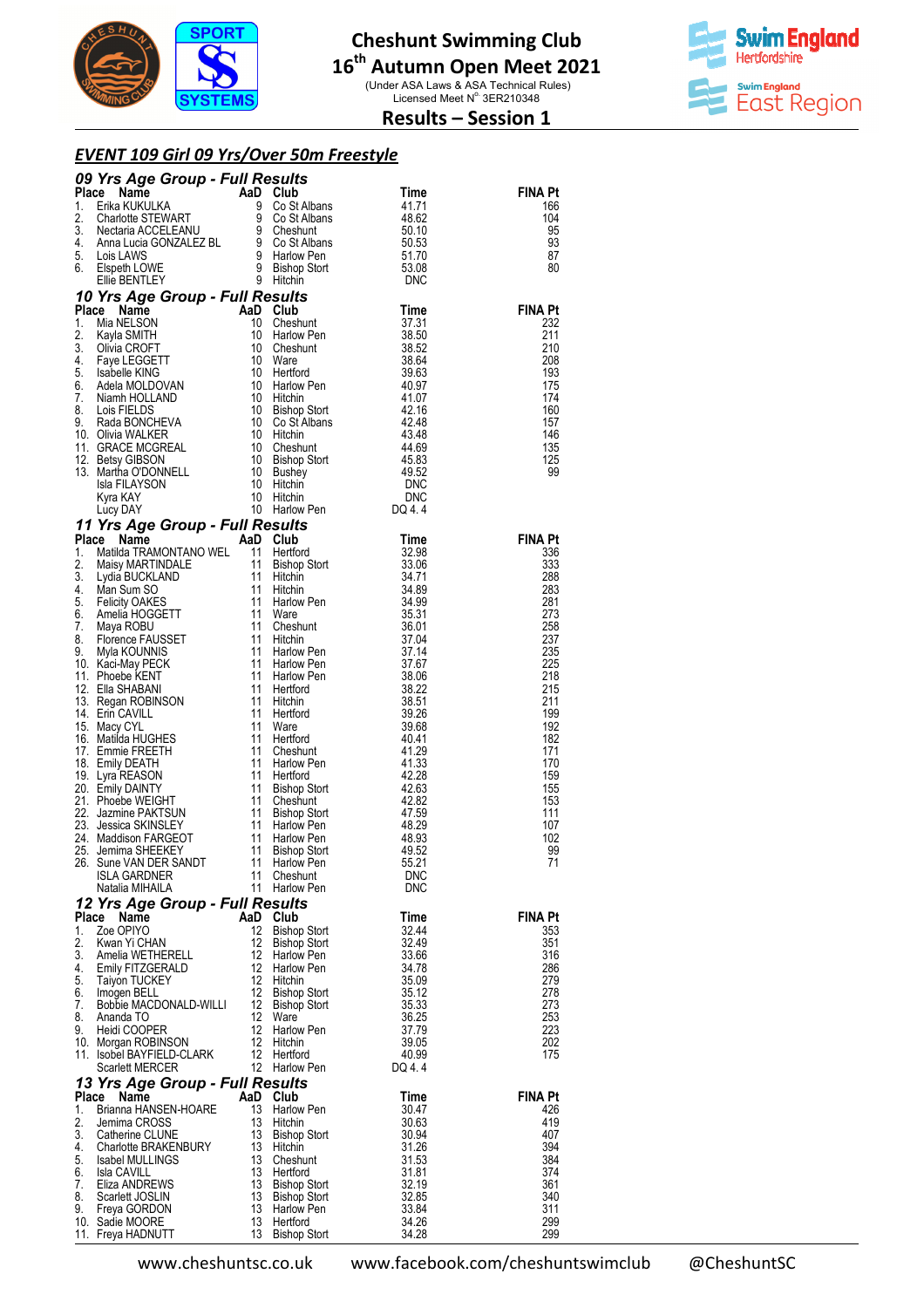

(Under ASA Laws & ASA Technical Rules)<br>Licensed Meet N° 3ER210348



## **Results – Session 1**

### *EVENT 109 Girl 09 Yrs/Over 50m Freestyle*

| 09 Yrs Age Group - Full Results<br><b>Example School Control Control Control Control Control Control Control Control Control Control Control Control Control Control Control Control Control Control Control Control Control Control Control Control Control Contro</b><br>Place<br>Time<br>1.<br>41.71<br>2.<br>48.62<br>3.<br>50.10<br>4.<br>50.53<br>5.<br>51.70<br>6.<br>53.08<br>DNC<br><b>sults</b><br>Club<br>Cheshunt<br>10 Yrs Age Group - Full Results<br>Time<br>37.31<br>38.50<br>38.52<br>38.64<br>39.63<br>40.97<br>41.07<br>42.16<br>42.48<br>43.48<br>44.69<br>45.83<br>49.52<br>DNC<br>DNC<br>DQ 4.4<br>Place Name<br>AaD Club<br>Time<br>32.98<br>33.06<br>34.71<br>34.89<br>34.99<br>35.31<br>36.01<br>37.04<br>37.14<br>37.67<br>38.06<br>38.22 | <b>FINA Pt</b><br>166<br>104<br>95<br>93<br>87<br>80<br><b>FINA Pt</b><br>232<br>211<br>210<br>208<br>193<br>175<br>174<br>160<br>157<br>146<br>135<br>125<br>99<br><b>FINA Pt</b><br>336<br>333<br>288<br>283<br>281<br>273<br>258<br>237 |
|---------------------------------------------------------------------------------------------------------------------------------------------------------------------------------------------------------------------------------------------------------------------------------------------------------------------------------------------------------------------------------------------------------------------------------------------------------------------------------------------------------------------------------------------------------------------------------------------------------------------------------------------------------------------------------------------------------------------------------------------------------------------|--------------------------------------------------------------------------------------------------------------------------------------------------------------------------------------------------------------------------------------------|
|                                                                                                                                                                                                                                                                                                                                                                                                                                                                                                                                                                                                                                                                                                                                                                     |                                                                                                                                                                                                                                            |
|                                                                                                                                                                                                                                                                                                                                                                                                                                                                                                                                                                                                                                                                                                                                                                     |                                                                                                                                                                                                                                            |
|                                                                                                                                                                                                                                                                                                                                                                                                                                                                                                                                                                                                                                                                                                                                                                     |                                                                                                                                                                                                                                            |
|                                                                                                                                                                                                                                                                                                                                                                                                                                                                                                                                                                                                                                                                                                                                                                     |                                                                                                                                                                                                                                            |
|                                                                                                                                                                                                                                                                                                                                                                                                                                                                                                                                                                                                                                                                                                                                                                     |                                                                                                                                                                                                                                            |
| <b>10 Yrs Age Group - Full Results<br/> 1.</b> Mia NELSON<br>1. Mia NELSON<br>10 Cheshunt<br>10 Harlow Pen<br>2. Kayla SMITH 10 Harlow Pen<br>3. Olivia CROFT 10 Ware<br>5. Isabelle KING<br>5. Isabelle KING<br>10 Harlow Pen<br>6. Adela MOLDOVAN<br>7. N<br>11 Yrs Age Group - Full Results<br><b>77 Yrs Age Group - Funcesures</b><br>1. Matilda TRAMONTANO WEL 11 Bishop Stort<br>1. Matilda TRAMONTANO WEL 11 Bishop Stort<br>1. Matilda TRAMONTANO 11 Hitchin<br>4. Man Sum SO 11 Hitchin<br>6. Greenice FAUSSET 11 Cheshunt<br>8. Florenc                                                                                                                                                                                                                   |                                                                                                                                                                                                                                            |
|                                                                                                                                                                                                                                                                                                                                                                                                                                                                                                                                                                                                                                                                                                                                                                     |                                                                                                                                                                                                                                            |
|                                                                                                                                                                                                                                                                                                                                                                                                                                                                                                                                                                                                                                                                                                                                                                     |                                                                                                                                                                                                                                            |
|                                                                                                                                                                                                                                                                                                                                                                                                                                                                                                                                                                                                                                                                                                                                                                     |                                                                                                                                                                                                                                            |
|                                                                                                                                                                                                                                                                                                                                                                                                                                                                                                                                                                                                                                                                                                                                                                     |                                                                                                                                                                                                                                            |
|                                                                                                                                                                                                                                                                                                                                                                                                                                                                                                                                                                                                                                                                                                                                                                     |                                                                                                                                                                                                                                            |
|                                                                                                                                                                                                                                                                                                                                                                                                                                                                                                                                                                                                                                                                                                                                                                     |                                                                                                                                                                                                                                            |
|                                                                                                                                                                                                                                                                                                                                                                                                                                                                                                                                                                                                                                                                                                                                                                     |                                                                                                                                                                                                                                            |
|                                                                                                                                                                                                                                                                                                                                                                                                                                                                                                                                                                                                                                                                                                                                                                     |                                                                                                                                                                                                                                            |
|                                                                                                                                                                                                                                                                                                                                                                                                                                                                                                                                                                                                                                                                                                                                                                     |                                                                                                                                                                                                                                            |
|                                                                                                                                                                                                                                                                                                                                                                                                                                                                                                                                                                                                                                                                                                                                                                     |                                                                                                                                                                                                                                            |
|                                                                                                                                                                                                                                                                                                                                                                                                                                                                                                                                                                                                                                                                                                                                                                     |                                                                                                                                                                                                                                            |
|                                                                                                                                                                                                                                                                                                                                                                                                                                                                                                                                                                                                                                                                                                                                                                     |                                                                                                                                                                                                                                            |
|                                                                                                                                                                                                                                                                                                                                                                                                                                                                                                                                                                                                                                                                                                                                                                     |                                                                                                                                                                                                                                            |
|                                                                                                                                                                                                                                                                                                                                                                                                                                                                                                                                                                                                                                                                                                                                                                     |                                                                                                                                                                                                                                            |
|                                                                                                                                                                                                                                                                                                                                                                                                                                                                                                                                                                                                                                                                                                                                                                     |                                                                                                                                                                                                                                            |
|                                                                                                                                                                                                                                                                                                                                                                                                                                                                                                                                                                                                                                                                                                                                                                     |                                                                                                                                                                                                                                            |
|                                                                                                                                                                                                                                                                                                                                                                                                                                                                                                                                                                                                                                                                                                                                                                     |                                                                                                                                                                                                                                            |
|                                                                                                                                                                                                                                                                                                                                                                                                                                                                                                                                                                                                                                                                                                                                                                     |                                                                                                                                                                                                                                            |
|                                                                                                                                                                                                                                                                                                                                                                                                                                                                                                                                                                                                                                                                                                                                                                     |                                                                                                                                                                                                                                            |
|                                                                                                                                                                                                                                                                                                                                                                                                                                                                                                                                                                                                                                                                                                                                                                     |                                                                                                                                                                                                                                            |
|                                                                                                                                                                                                                                                                                                                                                                                                                                                                                                                                                                                                                                                                                                                                                                     |                                                                                                                                                                                                                                            |
|                                                                                                                                                                                                                                                                                                                                                                                                                                                                                                                                                                                                                                                                                                                                                                     |                                                                                                                                                                                                                                            |
|                                                                                                                                                                                                                                                                                                                                                                                                                                                                                                                                                                                                                                                                                                                                                                     | 235<br>225                                                                                                                                                                                                                                 |
|                                                                                                                                                                                                                                                                                                                                                                                                                                                                                                                                                                                                                                                                                                                                                                     | 218                                                                                                                                                                                                                                        |
|                                                                                                                                                                                                                                                                                                                                                                                                                                                                                                                                                                                                                                                                                                                                                                     | 215                                                                                                                                                                                                                                        |
| 38.51<br>39.26                                                                                                                                                                                                                                                                                                                                                                                                                                                                                                                                                                                                                                                                                                                                                      | 211<br>199                                                                                                                                                                                                                                 |
| 39.68                                                                                                                                                                                                                                                                                                                                                                                                                                                                                                                                                                                                                                                                                                                                                               | 192                                                                                                                                                                                                                                        |
| 40.41                                                                                                                                                                                                                                                                                                                                                                                                                                                                                                                                                                                                                                                                                                                                                               | 182                                                                                                                                                                                                                                        |
| 41.29<br>41.33                                                                                                                                                                                                                                                                                                                                                                                                                                                                                                                                                                                                                                                                                                                                                      | 171<br>170                                                                                                                                                                                                                                 |
| 42.28                                                                                                                                                                                                                                                                                                                                                                                                                                                                                                                                                                                                                                                                                                                                                               | 159                                                                                                                                                                                                                                        |
| 42.63                                                                                                                                                                                                                                                                                                                                                                                                                                                                                                                                                                                                                                                                                                                                                               | 155                                                                                                                                                                                                                                        |
| 42.82<br>47.59                                                                                                                                                                                                                                                                                                                                                                                                                                                                                                                                                                                                                                                                                                                                                      | 153<br>111                                                                                                                                                                                                                                 |
| 48.29                                                                                                                                                                                                                                                                                                                                                                                                                                                                                                                                                                                                                                                                                                                                                               | 107                                                                                                                                                                                                                                        |
| 48.93                                                                                                                                                                                                                                                                                                                                                                                                                                                                                                                                                                                                                                                                                                                                                               | 102                                                                                                                                                                                                                                        |
| 49.52<br>55.21                                                                                                                                                                                                                                                                                                                                                                                                                                                                                                                                                                                                                                                                                                                                                      | 99<br>71                                                                                                                                                                                                                                   |
| 11<br>ISLA GARDNER<br>Cheshunt<br>DNC                                                                                                                                                                                                                                                                                                                                                                                                                                                                                                                                                                                                                                                                                                                               |                                                                                                                                                                                                                                            |
| 11 Harlow Pen<br>Natalia MIHAILA<br><b>DNC</b>                                                                                                                                                                                                                                                                                                                                                                                                                                                                                                                                                                                                                                                                                                                      |                                                                                                                                                                                                                                            |
| 12 Yrs Age Group - Full Results                                                                                                                                                                                                                                                                                                                                                                                                                                                                                                                                                                                                                                                                                                                                     |                                                                                                                                                                                                                                            |
| Place<br>Name<br>AaD Club<br>Time<br>12<br>1.<br>Zoe OPIYO<br><b>Bishop Stort</b><br>32.44                                                                                                                                                                                                                                                                                                                                                                                                                                                                                                                                                                                                                                                                          | <b>FINA Pt</b><br>353                                                                                                                                                                                                                      |
| 2.<br>12<br>Kwan Yi CHAN<br><b>Bishop Stort</b><br>32.49                                                                                                                                                                                                                                                                                                                                                                                                                                                                                                                                                                                                                                                                                                            | 351                                                                                                                                                                                                                                        |
| 3.<br>12<br>33.66<br>Amelia WETHERELL<br>Harlow Pen                                                                                                                                                                                                                                                                                                                                                                                                                                                                                                                                                                                                                                                                                                                 | 316                                                                                                                                                                                                                                        |
| 12<br>4.<br>Emily FITZGERALD<br><b>Harlow Pen</b><br>34.78<br>5.<br>12<br><b>Taiyon TUCKEY</b><br>35.09<br>Hitchin                                                                                                                                                                                                                                                                                                                                                                                                                                                                                                                                                                                                                                                  | 286<br>279                                                                                                                                                                                                                                 |
| 12<br>6.<br>Bishop Stort<br>35.12<br>Imogen BELL                                                                                                                                                                                                                                                                                                                                                                                                                                                                                                                                                                                                                                                                                                                    | 278                                                                                                                                                                                                                                        |
| 7.<br>Bobbie MACDONALD-WILLI<br>12<br><b>Bishop Stort</b><br>35.33                                                                                                                                                                                                                                                                                                                                                                                                                                                                                                                                                                                                                                                                                                  | 273                                                                                                                                                                                                                                        |
| 8.<br>12<br>36.25<br>Ananda TO<br>Ware<br>9.<br>12<br>37.79<br>Heidi COOPER<br>Harlow Pen                                                                                                                                                                                                                                                                                                                                                                                                                                                                                                                                                                                                                                                                           | 253<br>223                                                                                                                                                                                                                                 |
| 12<br>10. Morgan ROBINSON<br>Hitchin<br>39.05                                                                                                                                                                                                                                                                                                                                                                                                                                                                                                                                                                                                                                                                                                                       | 202                                                                                                                                                                                                                                        |
| 12<br>11. Isobel BAYFIELD-CLARK<br>Hertford<br>40.99<br>12 Harlow Pen                                                                                                                                                                                                                                                                                                                                                                                                                                                                                                                                                                                                                                                                                               | 175                                                                                                                                                                                                                                        |
| <b>Scarlett MERCER</b><br>DQ 4.4<br>13 Yrs Age Group - Full Results                                                                                                                                                                                                                                                                                                                                                                                                                                                                                                                                                                                                                                                                                                 |                                                                                                                                                                                                                                            |
| AaD Club<br>Place<br>Name<br>Time                                                                                                                                                                                                                                                                                                                                                                                                                                                                                                                                                                                                                                                                                                                                   | <b>FINA Pt</b>                                                                                                                                                                                                                             |
| 13<br>1.<br>Brianna HANSEN-HOARE<br>Harlow Pen<br>30.47                                                                                                                                                                                                                                                                                                                                                                                                                                                                                                                                                                                                                                                                                                             | 426                                                                                                                                                                                                                                        |
| 13<br>2.<br>Jemima CROSS<br>Hitchin<br>30.63<br>3.<br>13<br>Catherine CLUNE<br>Bishop Stort<br>30.94                                                                                                                                                                                                                                                                                                                                                                                                                                                                                                                                                                                                                                                                | 419<br>407                                                                                                                                                                                                                                 |
| 13<br>4.<br>Charlotte BRAKENBURY<br>Hitchin<br>31.26                                                                                                                                                                                                                                                                                                                                                                                                                                                                                                                                                                                                                                                                                                                | 394                                                                                                                                                                                                                                        |
| 5.<br>13<br>Isabel MULLINGS<br>Cheshunt<br>31.53                                                                                                                                                                                                                                                                                                                                                                                                                                                                                                                                                                                                                                                                                                                    | 384                                                                                                                                                                                                                                        |
| 13<br>6.<br>31.81<br><b>Isla CAVILL</b><br>Hertford<br>13<br>7.<br>Eliza ANDREWS<br>Bishop Stort<br>32.19                                                                                                                                                                                                                                                                                                                                                                                                                                                                                                                                                                                                                                                           | 374<br>361                                                                                                                                                                                                                                 |
| 8.<br>13<br>Scarlett JOSLIN<br>32.85<br><b>Bishop Stort</b>                                                                                                                                                                                                                                                                                                                                                                                                                                                                                                                                                                                                                                                                                                         | 340                                                                                                                                                                                                                                        |
|                                                                                                                                                                                                                                                                                                                                                                                                                                                                                                                                                                                                                                                                                                                                                                     | 311                                                                                                                                                                                                                                        |
| 9.<br>13<br>33.84<br>Freya GORDON<br>Harlow Pen<br>13<br>34.26<br>10. Sadie MOORE<br>Hertford                                                                                                                                                                                                                                                                                                                                                                                                                                                                                                                                                                                                                                                                       | 299                                                                                                                                                                                                                                        |

www.cheshuntsc.co.uk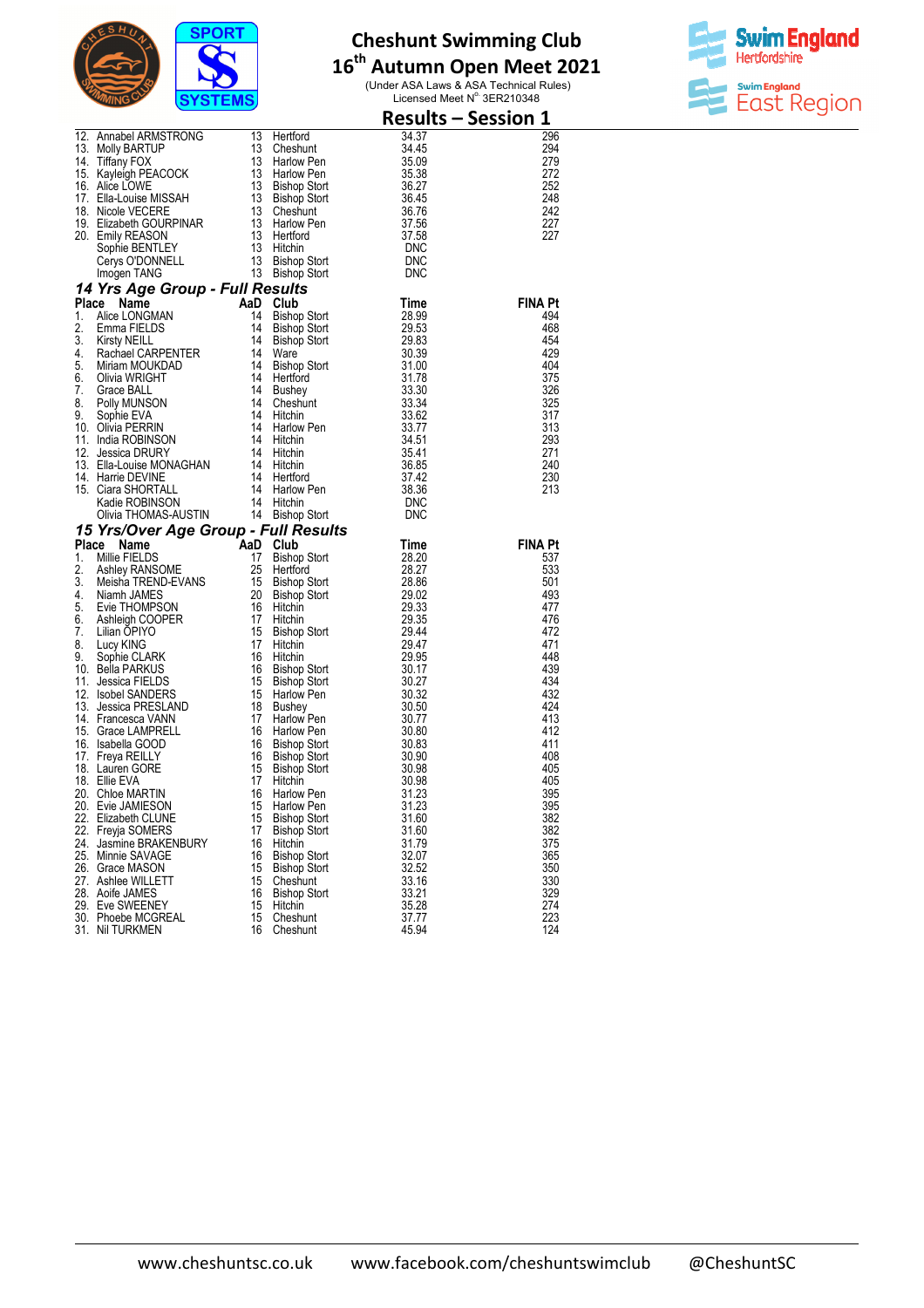

# **16 th Autumn Open Meet 2021**

(Under ASA Laws & ASA Technical Rules)<br>Licensed Meet N° 3ER210348



| 12. Annabel ARMSTRONG 13 Herftord<br>13. Molly BARTUP<br>13. Molly BARTUP<br>13. Molly BARTUP<br>13 Cheshunt<br>14. Tiffany FOX<br>16. Alice LOWE<br>16. Alice LOWE<br>16. Alice LOWE<br>16. Alice LOWE<br>17. Ella-Louise MISSAH<br>17. Ella-Louise |          |                      |                | <b>Results - Session 1</b> |
|------------------------------------------------------------------------------------------------------------------------------------------------------------------------------------------------------------------------------------------------------|----------|----------------------|----------------|----------------------------|
|                                                                                                                                                                                                                                                      |          |                      |                | 296                        |
|                                                                                                                                                                                                                                                      |          |                      |                | 294                        |
|                                                                                                                                                                                                                                                      |          |                      |                | 279                        |
|                                                                                                                                                                                                                                                      |          |                      |                | 272<br>252                 |
|                                                                                                                                                                                                                                                      |          |                      |                | 248                        |
|                                                                                                                                                                                                                                                      |          |                      |                | 242                        |
|                                                                                                                                                                                                                                                      |          |                      |                | 227                        |
|                                                                                                                                                                                                                                                      |          |                      |                | 227                        |
|                                                                                                                                                                                                                                                      |          |                      |                |                            |
|                                                                                                                                                                                                                                                      |          |                      |                |                            |
|                                                                                                                                                                                                                                                      |          |                      |                |                            |
|                                                                                                                                                                                                                                                      |          |                      |                |                            |
|                                                                                                                                                                                                                                                      |          |                      |                | <b>FINA Pt</b><br>494      |
|                                                                                                                                                                                                                                                      |          |                      |                | 468                        |
|                                                                                                                                                                                                                                                      |          |                      |                | 454                        |
|                                                                                                                                                                                                                                                      |          |                      |                | 429                        |
|                                                                                                                                                                                                                                                      |          |                      |                | 404                        |
|                                                                                                                                                                                                                                                      |          |                      |                | 375                        |
|                                                                                                                                                                                                                                                      |          |                      |                | 326                        |
|                                                                                                                                                                                                                                                      |          |                      |                | 325                        |
|                                                                                                                                                                                                                                                      |          |                      |                | 317                        |
|                                                                                                                                                                                                                                                      |          |                      |                | 313                        |
|                                                                                                                                                                                                                                                      |          |                      |                | 293<br>271                 |
|                                                                                                                                                                                                                                                      |          |                      |                | 240                        |
|                                                                                                                                                                                                                                                      |          |                      |                | 230                        |
|                                                                                                                                                                                                                                                      |          |                      |                | 213                        |
|                                                                                                                                                                                                                                                      |          |                      |                |                            |
|                                                                                                                                                                                                                                                      |          |                      |                |                            |
| Value FILOMAS-AUSTIN 14 Bishop Stort<br>14 Bishop Stort<br>15 Yrs/Over Age Group - Full Results<br>14 Bishop Stort<br>16 State FILOMAS-AUSTIN 14 Bishop Stort<br>28.27<br>2. Ashley RANSOME 15 Bishop Stort<br>28.27<br>3. Meisha TREND-EVANS<br>    |          |                      |                |                            |
|                                                                                                                                                                                                                                                      |          |                      |                | <b>FINA Pt</b><br>537      |
|                                                                                                                                                                                                                                                      |          |                      |                | 533                        |
|                                                                                                                                                                                                                                                      |          |                      |                | 501                        |
|                                                                                                                                                                                                                                                      |          |                      |                | 493                        |
|                                                                                                                                                                                                                                                      |          |                      |                | 477                        |
|                                                                                                                                                                                                                                                      |          |                      |                | 476                        |
|                                                                                                                                                                                                                                                      |          |                      |                | 472                        |
|                                                                                                                                                                                                                                                      |          |                      |                | 471                        |
|                                                                                                                                                                                                                                                      |          |                      |                | 448                        |
|                                                                                                                                                                                                                                                      |          |                      |                | 439<br>434                 |
|                                                                                                                                                                                                                                                      |          |                      |                | 432                        |
|                                                                                                                                                                                                                                                      |          |                      |                | 424                        |
|                                                                                                                                                                                                                                                      |          |                      |                | 413                        |
|                                                                                                                                                                                                                                                      |          |                      |                | 412                        |
|                                                                                                                                                                                                                                                      |          |                      |                | 411                        |
|                                                                                                                                                                                                                                                      |          |                      |                | 408                        |
|                                                                                                                                                                                                                                                      |          |                      |                | 405                        |
|                                                                                                                                                                                                                                                      |          |                      |                | 405                        |
| 20. Evie JAMIESON 15 Harlow Pen                                                                                                                                                                                                                      |          |                      | 31.23          | 395                        |
| 22. Elizabeth CLUNE                                                                                                                                                                                                                                  | 15       | <b>Bishop Stort</b>  | 31.60          | 395<br>382                 |
| 22. Freyja SOMERS                                                                                                                                                                                                                                    | 17       | <b>Bishop Stort</b>  | 31.60          | 382                        |
| 24. Jasmine BRAKENBURY                                                                                                                                                                                                                               | 16       | Hitchin              | 31.79          | 375                        |
| 25. Minnie SAVAGE                                                                                                                                                                                                                                    | 16       | <b>Bishop Stort</b>  | 32.07          | 365                        |
| 26. Grace MASON                                                                                                                                                                                                                                      | 15       | <b>Bishop Stort</b>  | 32.52          | 350                        |
| 27. Ashlee WILLETT                                                                                                                                                                                                                                   | 15       | Cheshunt             | 33.16          | 330                        |
| 28. Aoife JAMES                                                                                                                                                                                                                                      | 16       | <b>Bishop Stort</b>  | 33.21          | 329                        |
| 29. Eve SWEENEY                                                                                                                                                                                                                                      | 15       | Hitchin              | 35.28          | 274                        |
| 30. Phoebe MCGREAL<br>31. Nil TURKMEN                                                                                                                                                                                                                | 15<br>16 | Cheshunt<br>Cheshunt | 37.77<br>45.94 | 223<br>124                 |
|                                                                                                                                                                                                                                                      |          |                      |                |                            |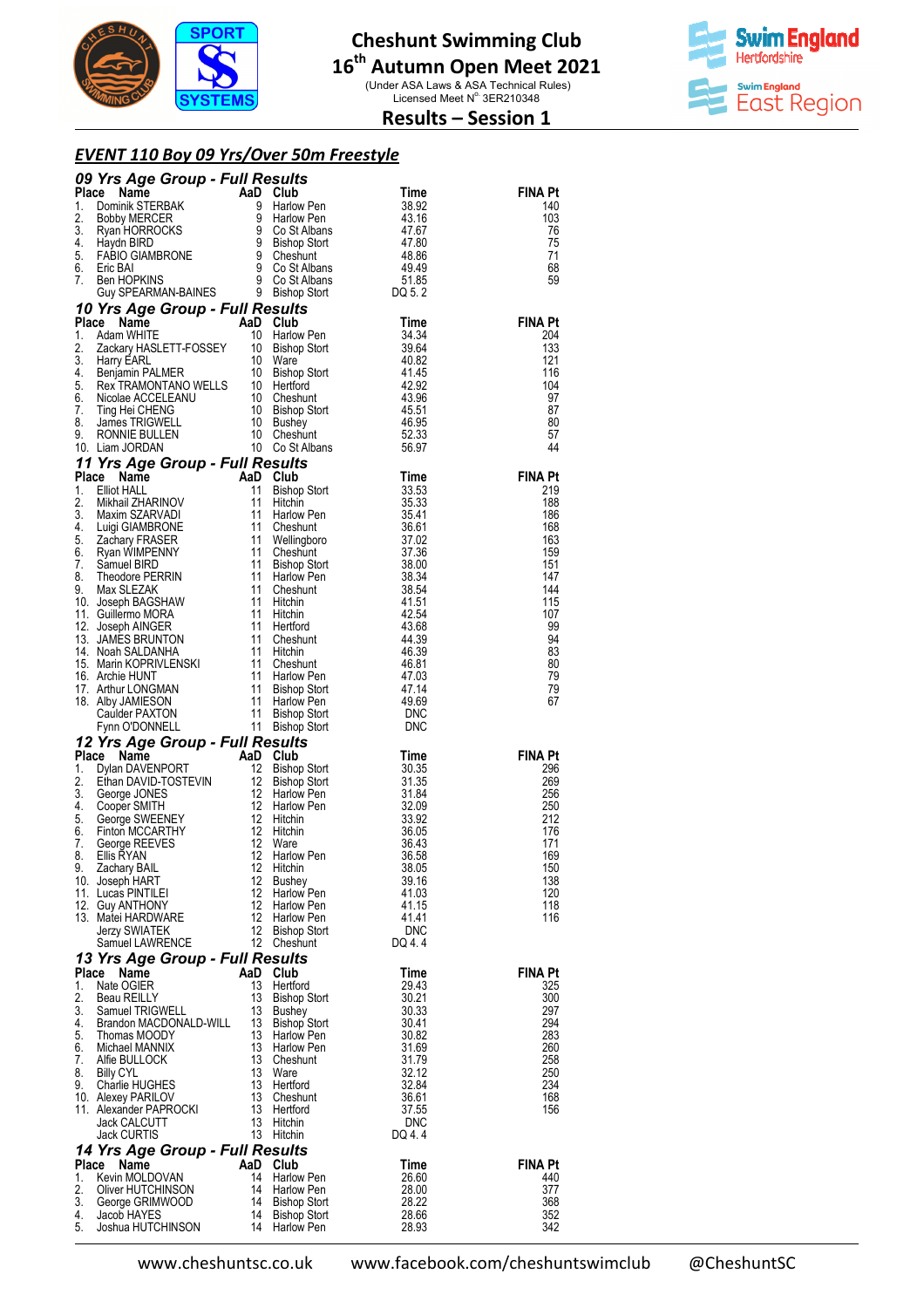

(Under ASA Laws & ASA Technical Rules)<br>Licensed Meet N° 3ER210348



## **Results – Session 1**

## *EVENT 110 Boy 09 Yrs/Over 50m Freestyle*

|             | <b>09 Yrs Age Group - Full Results</b><br>1. Dominik STERBAK and Club<br>1. Dominik STERBAK 9 Harlow Pen<br>2. Bobby MERCER 9 Harlow Pen<br>43.16<br>43.16<br>43.16<br>43.16<br>43.16<br>43.16<br>43.16<br>43.16<br>43.16<br>43.16<br>43.16<br>43.16<br>43.16<br>47.8                        |          |                                                                                               |                                                    |                       |
|-------------|----------------------------------------------------------------------------------------------------------------------------------------------------------------------------------------------------------------------------------------------------------------------------------------------|----------|-----------------------------------------------------------------------------------------------|----------------------------------------------------|-----------------------|
|             |                                                                                                                                                                                                                                                                                              |          |                                                                                               |                                                    | <b>FINA Pt</b><br>140 |
|             |                                                                                                                                                                                                                                                                                              |          |                                                                                               |                                                    | 103                   |
|             |                                                                                                                                                                                                                                                                                              |          |                                                                                               |                                                    | 76                    |
|             |                                                                                                                                                                                                                                                                                              |          |                                                                                               |                                                    | 75<br>71              |
|             |                                                                                                                                                                                                                                                                                              |          |                                                                                               |                                                    | 68                    |
|             |                                                                                                                                                                                                                                                                                              |          |                                                                                               |                                                    | 59                    |
|             |                                                                                                                                                                                                                                                                                              |          |                                                                                               |                                                    |                       |
|             | 10 Yrs Age Group - Full Results                                                                                                                                                                                                                                                              |          |                                                                                               |                                                    | <b>FINA Pt</b>        |
| Place<br>1. | Name                                                                                                                                                                                                                                                                                         |          | <b>aD</b> Club<br>10 Harlow Pen<br>AaD Club                                                   | Time                                               | 204                   |
| 2.          |                                                                                                                                                                                                                                                                                              |          |                                                                                               |                                                    | 133                   |
| 3.          |                                                                                                                                                                                                                                                                                              |          |                                                                                               |                                                    | 121                   |
| 4.<br>5.    |                                                                                                                                                                                                                                                                                              |          |                                                                                               |                                                    | 116<br>104            |
| 6.          |                                                                                                                                                                                                                                                                                              |          |                                                                                               |                                                    | 97                    |
| 7.          |                                                                                                                                                                                                                                                                                              |          |                                                                                               |                                                    | 87                    |
| 8.<br>9.    |                                                                                                                                                                                                                                                                                              |          |                                                                                               |                                                    | 80<br>57              |
|             | Communist Control of the Mathematical Control of the Mathematical Control of the Mathematical Control of the Mathematical Control of the Mathematical Control of the Mathematical Control of the Mathematical Control of the M<br>10. Liam JORDAN                                            |          |                                                                                               |                                                    | 44                    |
|             | 11 Yrs Age Group - Full Results<br>11 Yrs Age Group - Full Results<br>1. Elliot HALL<br>1. Elliot HALL<br>1. Elliot HALL<br>11 Bishop Stort<br>11 Hitchin<br>3.5.33<br>3. Maxim SZARVADI<br>11 Hitchin<br>3.5.33<br>11 Hitchin<br>5. Zachary FRASER<br>6. Ryan WIMPENNY<br>11 Cheshunt<br>11 |          |                                                                                               |                                                    |                       |
|             |                                                                                                                                                                                                                                                                                              |          |                                                                                               |                                                    | <b>FINA Pt</b>        |
|             |                                                                                                                                                                                                                                                                                              |          |                                                                                               |                                                    | 219<br>188            |
|             |                                                                                                                                                                                                                                                                                              |          |                                                                                               |                                                    | 186                   |
|             |                                                                                                                                                                                                                                                                                              |          |                                                                                               |                                                    | 168                   |
|             |                                                                                                                                                                                                                                                                                              |          |                                                                                               |                                                    | 163                   |
|             |                                                                                                                                                                                                                                                                                              |          |                                                                                               |                                                    | 159<br>151            |
|             |                                                                                                                                                                                                                                                                                              |          |                                                                                               |                                                    | 147                   |
|             |                                                                                                                                                                                                                                                                                              |          |                                                                                               |                                                    | 144                   |
|             |                                                                                                                                                                                                                                                                                              |          |                                                                                               |                                                    | 115<br>107            |
|             |                                                                                                                                                                                                                                                                                              |          |                                                                                               |                                                    | 99                    |
|             |                                                                                                                                                                                                                                                                                              |          |                                                                                               |                                                    | 94                    |
|             |                                                                                                                                                                                                                                                                                              |          |                                                                                               |                                                    | 83<br>80              |
|             |                                                                                                                                                                                                                                                                                              |          |                                                                                               |                                                    | 79                    |
|             |                                                                                                                                                                                                                                                                                              |          |                                                                                               |                                                    | 79<br>67              |
|             |                                                                                                                                                                                                                                                                                              |          |                                                                                               |                                                    |                       |
|             |                                                                                                                                                                                                                                                                                              |          |                                                                                               |                                                    |                       |
|             | 12 Yrs Age Group - Full Results                                                                                                                                                                                                                                                              |          | Flattower Contractor<br>Bishop Stort<br>Bishop Stort<br>Bishop Stort<br><b>esults</b><br>Club |                                                    |                       |
| 1.          | <b>Triangle Scroling Triangle Scroling Triangle Scroling ANTENDATE During The Scroling Charlotter Scroling Charlotter Scroling Charlotter Scroling Charlotter Scroling Charlotter Scroling Charlotter Scroling Charlotter Scroli</b><br>Place                                                |          |                                                                                               | Time                                               | <b>FINA Pt</b><br>296 |
| 2.          |                                                                                                                                                                                                                                                                                              |          |                                                                                               | THILE<br>30.35<br>31.35<br>31.84<br>32.09<br>33.92 | 269                   |
| 3.          |                                                                                                                                                                                                                                                                                              |          |                                                                                               |                                                    | 256                   |
| 4.<br>5.    |                                                                                                                                                                                                                                                                                              |          |                                                                                               | 33.92                                              | 250<br>212            |
| 6.          |                                                                                                                                                                                                                                                                                              |          |                                                                                               | 36.05                                              | 176                   |
| 7.          |                                                                                                                                                                                                                                                                                              |          |                                                                                               | 36.43                                              | 171                   |
| 8.<br>У.    | Zachary BAIL                                                                                                                                                                                                                                                                                 |          | 12 Hitchin                                                                                    | 36.58                                              | 169<br>150            |
|             | 10. Joseph HART                                                                                                                                                                                                                                                                              | 12       | Bushey                                                                                        | 38.05<br>39.16                                     | 138                   |
|             | 11. Lucas PINTILEI                                                                                                                                                                                                                                                                           | 12       | Harlow Pen                                                                                    | 41.03                                              | 120                   |
|             | 12. Guy ANTHONY<br>13. Matei HARDWARE                                                                                                                                                                                                                                                        | 12<br>12 | <b>Harlow Pen</b><br>Harlow Pen                                                               | 41.15<br>41.41                                     | 118<br>116            |
|             | Jerzy SWIATEK                                                                                                                                                                                                                                                                                | 12       | <b>Bishop Stort</b>                                                                           | DNC                                                |                       |
|             | Samuel LAWRENCE                                                                                                                                                                                                                                                                              |          | 12 Cheshunt                                                                                   | DQ 4.4                                             |                       |
|             | 13 Yrs Age Group - Full Results                                                                                                                                                                                                                                                              |          |                                                                                               |                                                    |                       |
| Place<br>1. | Name<br>Nate OGIER                                                                                                                                                                                                                                                                           | 13       | AaD Club<br>Hertford                                                                          | Time<br>29.43                                      | <b>FINA Pt</b><br>325 |
| 2.          | Beau REILLY                                                                                                                                                                                                                                                                                  | 13       | <b>Bishop Stort</b>                                                                           | 30.21                                              | 300                   |
| 3.          | Samuel TRIGWELL                                                                                                                                                                                                                                                                              | 13       | Bushey                                                                                        | 30.33                                              | 297                   |
| 4.<br>5.    | Brandon MACDONALD-WILL<br>Thomas MOODY                                                                                                                                                                                                                                                       | 13<br>13 | Bishop Stort<br><b>Harlow Pen</b>                                                             | 30.41<br>30.82                                     | 294<br>283            |
| 6.          | Michael MANNIX                                                                                                                                                                                                                                                                               | 13       | Harlow Pen                                                                                    | 31.69                                              | 260                   |
|             | 7. Alfie BULLOCK                                                                                                                                                                                                                                                                             |          | 13 Cheshunt                                                                                   | 31.79                                              | 258                   |
| 8.<br>9.    | <b>Billy CYL</b><br>Charlie HUGHES                                                                                                                                                                                                                                                           | 13<br>13 | Ware<br>Hertford                                                                              | 32.12<br>32.84                                     | 250<br>234            |
|             | 10. Alexey PARILOV                                                                                                                                                                                                                                                                           | 13       | Cheshunt                                                                                      | 36.61                                              | 168                   |
|             | 11. Alexander PAPROCKI                                                                                                                                                                                                                                                                       | 13       | Hertford                                                                                      | 37.55                                              | 156                   |
|             | Jack CALCUTT<br>Jack CURTIS                                                                                                                                                                                                                                                                  | 13       | Hitchin<br>13 Hitchin                                                                         | DNC<br>DQ 4.4                                      |                       |
|             | 14 Yrs Age Group - Full Results                                                                                                                                                                                                                                                              |          |                                                                                               |                                                    |                       |
|             | Place<br>Name                                                                                                                                                                                                                                                                                |          | AaD Club                                                                                      | Time                                               | <b>FINA Pt</b>        |
| 1.          | Kevin MOLDOVAN                                                                                                                                                                                                                                                                               | 14       | Harlow Pen                                                                                    | 26.60                                              | 440                   |
| 2.<br>3.    | Oliver HUTCHINSON<br>George GRIMWOOD                                                                                                                                                                                                                                                         | 14       | <b>Harlow Pen</b><br>14 Bishop Stort                                                          | 28.00<br>28.22                                     | 377<br>368            |
| 4.          | Jacob HAYES                                                                                                                                                                                                                                                                                  | 14       | Bishop Stort                                                                                  | 28.66                                              | 352                   |
| 5.          | Joshua HUTCHINSON                                                                                                                                                                                                                                                                            |          | 14 Harlow Pen                                                                                 | 28.93                                              | 342                   |

www.cheshuntsc.co.uk